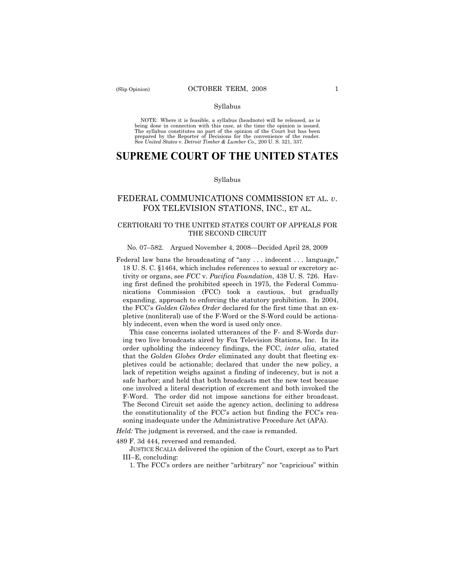#### Syllabus

NOTE: Where it is feasible, a syllabus (headnote) will be released, as is being done in connection with this case, at the time the opinion is issued. The syllabus constitutes no part of the opinion of the Court but has been<br>prepared by the Reporter of Decisions for the convenience of the reader.<br>See United States v. Detroit Timber & Lumber Co., 200 U. S. 321, 337.

# **SUPREME COURT OF THE UNITED STATES**

#### Syllabus

# FEDERAL COMMUNICATIONS COMMISSION ET AL. *v*. FOX TELEVISION STATIONS, INC., ET AL.

# CERTIORARI TO THE UNITED STATES COURT OF APPEALS FOR THE SECOND CIRCUIT

#### No. 07–582. Argued November 4, 2008—Decided April 28, 2009

Federal law bans the broadcasting of "any . . . indecent . . . language," 18 U. S. C. §1464, which includes references to sexual or excretory activity or organs, see *FCC* v. *Pacifica Foundation*, 438 U. S. 726. Having first defined the prohibited speech in 1975, the Federal Communications Commission (FCC) took a cautious, but gradually expanding, approach to enforcing the statutory prohibition. In 2004, the FCC's *Golden Globes Order* declared for the first time that an expletive (nonliteral) use of the F-Word or the S-Word could be actionably indecent, even when the word is used only once.

This case concerns isolated utterances of the F- and S-Words during two live broadcasts aired by Fox Television Stations, Inc. In its order upholding the indecency findings, the FCC, *inter alia,* stated that the *Golden Globes Order* eliminated any doubt that fleeting expletives could be actionable; declared that under the new policy, a lack of repetition weighs against a finding of indecency, but is not a safe harbor; and held that both broadcasts met the new test because one involved a literal description of excrement and both invoked the F-Word. The order did not impose sanctions for either broadcast. The Second Circuit set aside the agency action, declining to address the constitutionality of the FCC's action but finding the FCC's reasoning inadequate under the Administrative Procedure Act (APA).

*Held:* The judgment is reversed, and the case is remanded.

489 F. 3d 444, reversed and remanded.

JUSTICE SCALIA delivered the opinion of the Court, except as to Part III–E, concluding:

1. The FCC's orders are neither "arbitrary" nor "capricious" within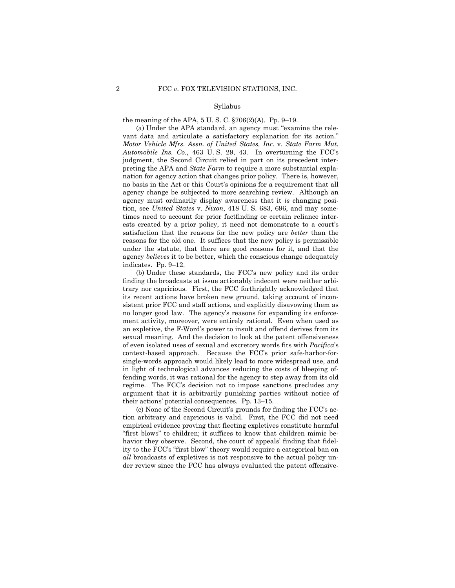#### Syllabus

the meaning of the APA, 5 U. S. C. §706(2)(A). Pp. 9–19.

(a) Under the APA standard, an agency must "examine the relevant data and articulate a satisfactory explanation for its action." *Motor Vehicle Mfrs. Assn. of United States, Inc.* v. *State Farm Mut. Automobile Ins. Co.*, 463 U. S. 29, 43. In overturning the FCC's judgment, the Second Circuit relied in part on its precedent interpreting the APA and *State Farm* to require a more substantial explanation for agency action that changes prior policy. There is, however, no basis in the Act or this Court's opinions for a requirement that all agency change be subjected to more searching review. Although an agency must ordinarily display awareness that it *is* changing position, see *United States* v. *Nixon*, 418 U. S. 683, 696, and may sometimes need to account for prior factfinding or certain reliance interests created by a prior policy, it need not demonstrate to a court's satisfaction that the reasons for the new policy are *better* than the reasons for the old one. It suffices that the new policy is permissible under the statute, that there are good reasons for it, and that the agency *believes* it to be better, which the conscious change adequately indicates. Pp. 9–12.

(b) Under these standards, the FCC's new policy and its order finding the broadcasts at issue actionably indecent were neither arbitrary nor capricious. First, the FCC forthrightly acknowledged that its recent actions have broken new ground, taking account of inconsistent prior FCC and staff actions, and explicitly disavowing them as no longer good law. The agency's reasons for expanding its enforcement activity, moreover, were entirely rational. Even when used as an expletive, the F-Word's power to insult and offend derives from its sexual meaning. And the decision to look at the patent offensiveness of even isolated uses of sexual and excretory words fits with *Pacifica*'s context-based approach. Because the FCC's prior safe-harbor-forsingle-words approach would likely lead to more widespread use, and in light of technological advances reducing the costs of bleeping offending words, it was rational for the agency to step away from its old regime. The FCC's decision not to impose sanctions precludes any argument that it is arbitrarily punishing parties without notice of their actions' potential consequences. Pp. 13–15.

(c) None of the Second Circuit's grounds for finding the FCC's action arbitrary and capricious is valid. First, the FCC did not need empirical evidence proving that fleeting expletives constitute harmful "first blows" to children; it suffices to know that children mimic behavior they observe. Second, the court of appeals' finding that fidelity to the FCC's "first blow" theory would require a categorical ban on *all* broadcasts of expletives is not responsive to the actual policy under review since the FCC has always evaluated the patent offensive-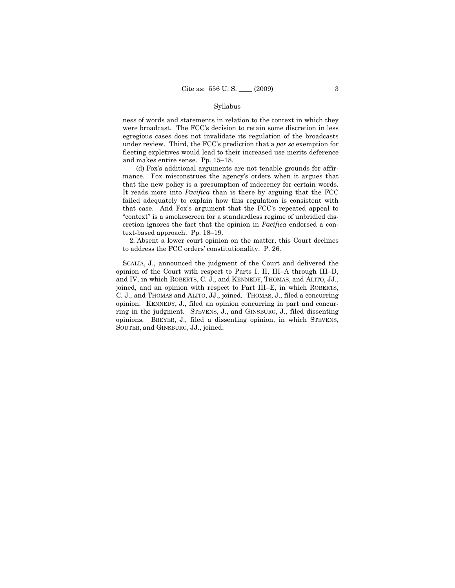#### Syllabus

ness of words and statements in relation to the context in which they were broadcast. The FCC's decision to retain some discretion in less egregious cases does not invalidate its regulation of the broadcasts under review. Third, the FCC's prediction that a *per se* exemption for fleeting expletives would lead to their increased use merits deference and makes entire sense. Pp. 15–18.

(d) Fox's additional arguments are not tenable grounds for affirmance. Fox misconstrues the agency's orders when it argues that that the new policy is a presumption of indecency for certain words. It reads more into *Pacifica* than is there by arguing that the FCC failed adequately to explain how this regulation is consistent with that case. And Fox's argument that the FCC's repeated appeal to "context" is a smokescreen for a standardless regime of unbridled discretion ignores the fact that the opinion in *Pacifica* endorsed a context-based approach. Pp. 18–19.

2. Absent a lower court opinion on the matter, this Court declines to address the FCC orders' constitutionality. P. 26.

SCALIA, J., announced the judgment of the Court and delivered the opinion of the Court with respect to Parts I, II, III–A through III–D, and IV, in which ROBERTS, C. J., and KENNEDY, THOMAS, and ALITO, JJ., joined, and an opinion with respect to Part III–E, in which ROBERTS, C. J., and THOMAS and ALITO, JJ., joined. THOMAS, J., filed a concurring opinion. KENNEDY, J., filed an opinion concurring in part and concurring in the judgment. STEVENS, J., and GINSBURG, J., filed dissenting opinions. BREYER, J., filed a dissenting opinion, in which STEVENS, SOUTER, and GINSBURG, JJ., joined.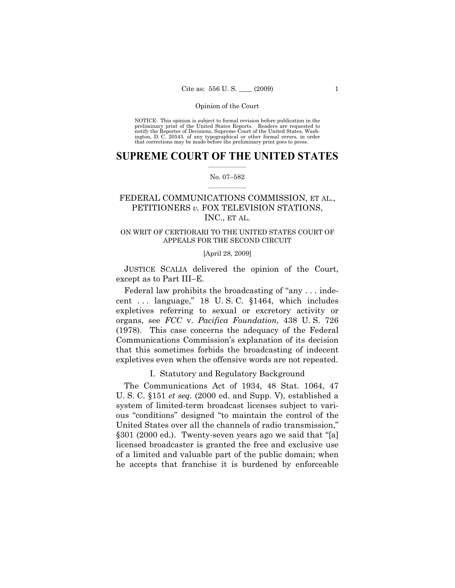NOTICE: This opinion is subject to formal revision before publication in the preliminary print of the United States Reports. Readers are requested to notify the Reporter of Decisions, Supreme Court of the United States, Washington, D. C. 20543, of any typographical or other formal errors, in order that corrections may be made before the preliminary print goes to press.

# $\frac{1}{2}$  ,  $\frac{1}{2}$  ,  $\frac{1}{2}$  ,  $\frac{1}{2}$  ,  $\frac{1}{2}$  ,  $\frac{1}{2}$  ,  $\frac{1}{2}$ **SUPREME COURT OF THE UNITED STATES**

## $\frac{1}{2}$  ,  $\frac{1}{2}$  ,  $\frac{1}{2}$  ,  $\frac{1}{2}$  ,  $\frac{1}{2}$  ,  $\frac{1}{2}$ No. 07–582

# FEDERAL COMMUNICATIONS COMMISSION, ET AL., PETITIONERS *v.* FOX TELEVISION STATIONS, INC., ET AL.

# ON WRIT OF CERTIORARI TO THE UNITED STATES COURT OF APPEALS FOR THE SECOND CIRCUIT

# [April 28, 2009]

JUSTICE SCALIA delivered the opinion of the Court, except as to Part III–E.

Federal law prohibits the broadcasting of "any . . . indecent . . . language," 18 U. S. C. §1464, which includes expletives referring to sexual or excretory activity or organs, see *FCC* v. *Pacifica Foundation*, 438 U. S. 726 (1978). This case concerns the adequacy of the Federal Communications Commission's explanation of its decision that this sometimes forbids the broadcasting of indecent expletives even when the offensive words are not repeated.

# I. Statutory and Regulatory Background

The Communications Act of 1934, 48 Stat. 1064, 47 U. S. C. §151 *et seq.* (2000 ed. and Supp. V), established a system of limited-term broadcast licenses subject to various "conditions" designed "to maintain the control of the United States over all the channels of radio transmission," §301 (2000 ed.). Twenty-seven years ago we said that "[a] licensed broadcaster is granted the free and exclusive use of a limited and valuable part of the public domain; when he accepts that franchise it is burdened by enforceable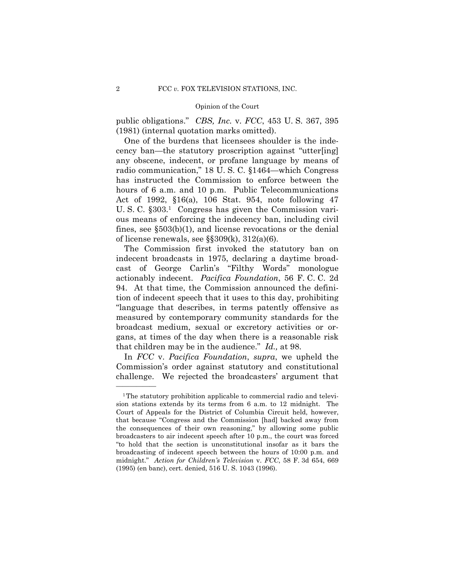public obligations." *CBS, Inc.* v. *FCC*, 453 U. S. 367, 395 (1981) (internal quotation marks omitted).

One of the burdens that licensees shoulder is the indecency ban—the statutory proscription against "utter[ing] any obscene, indecent, or profane language by means of radio communication," 18 U. S. C. §1464—which Congress has instructed the Commission to enforce between the hours of 6 a.m. and 10 p.m. Public Telecommunications Act of 1992, §16(a), 106 Stat. 954, note following 47 U. S. C. §303.<sup>1</sup> Congress has given the Commission various means of enforcing the indecency ban, including civil fines, see §503(b)(1), and license revocations or the denial of license renewals, see  $\S$ §309 $(k)$ , 312 $(a)$  $(6)$ .

The Commission first invoked the statutory ban on indecent broadcasts in 1975, declaring a daytime broadcast of George Carlin's "Filthy Words" monologue actionably indecent. *Pacifica Foundation*, 56 F. C. C. 2d 94. At that time, the Commission announced the definition of indecent speech that it uses to this day, prohibiting "language that describes, in terms patently offensive as measured by contemporary community standards for the broadcast medium, sexual or excretory activities or organs, at times of the day when there is a reasonable risk that children may be in the audience." *Id.,* at 98.

In *FCC* v. *Pacifica Foundation*, *supra*, we upheld the Commission's order against statutory and constitutional challenge. We rejected the broadcasters' argument that

<sup>&</sup>lt;sup>1</sup>The statutory prohibition applicable to commercial radio and television stations extends by its terms from 6 a.m. to 12 midnight. The Court of Appeals for the District of Columbia Circuit held, however, that because "Congress and the Commission [had] backed away from the consequences of their own reasoning," by allowing some public broadcasters to air indecent speech after 10 p.m., the court was forced "to hold that the section is unconstitutional insofar as it bars the broadcasting of indecent speech between the hours of 10:00 p.m. and midnight." *Action for Children's Television* v. *FCC*, 58 F. 3d 654, 669 (1995) (en banc), cert. denied, 516 U. S. 1043 (1996).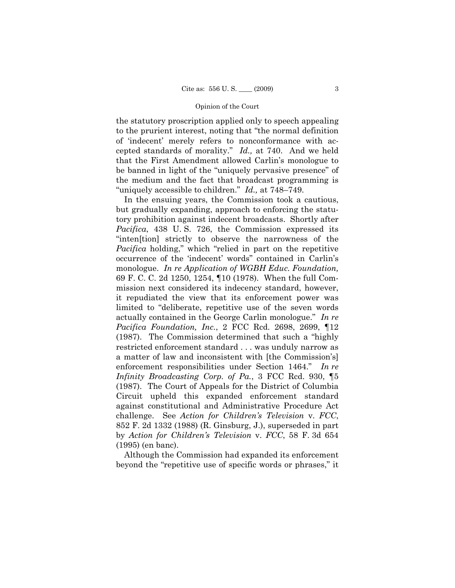the statutory proscription applied only to speech appealing to the prurient interest, noting that "the normal definition of 'indecent' merely refers to nonconformance with accepted standards of morality." *Id.,* at 740. And we held that the First Amendment allowed Carlin's monologue to be banned in light of the "uniquely pervasive presence" of the medium and the fact that broadcast programming is "uniquely accessible to children." *Id.,* at 748–749.

In the ensuing years, the Commission took a cautious, but gradually expanding, approach to enforcing the statutory prohibition against indecent broadcasts. Shortly after *Pacifica*, 438 U. S. 726, the Commission expressed its "inten[tion] strictly to observe the narrowness of the *Pacifica* holding," which "relied in part on the repetitive occurrence of the 'indecent' words" contained in Carlin's monologue. *In re Application of WGBH Educ. Foundation,*  69 F. C. C. 2d 1250, 1254, ¶10 (1978). When the full Commission next considered its indecency standard, however, it repudiated the view that its enforcement power was limited to "deliberate, repetitive use of the seven words actually contained in the George Carlin monologue." *In re Pacifica Foundation, Inc.*, 2 FCC Rcd. 2698, 2699, ¶12 (1987). The Commission determined that such a "highly restricted enforcement standard . . . was unduly narrow as a matter of law and inconsistent with [the Commission's] enforcement responsibilities under Section 1464." *In re Infinity Broadcasting Corp. of Pa.*, 3 FCC Rcd. 930, ¶5 (1987). The Court of Appeals for the District of Columbia Circuit upheld this expanded enforcement standard against constitutional and Administrative Procedure Act challenge. See *Action for Children's Television* v. *FCC*, 852 F. 2d 1332 (1988) (R. Ginsburg, J.), superseded in part by *Action for Children's Television* v. *FCC*, 58 F. 3d 654 (1995) (en banc).

Although the Commission had expanded its enforcement beyond the "repetitive use of specific words or phrases," it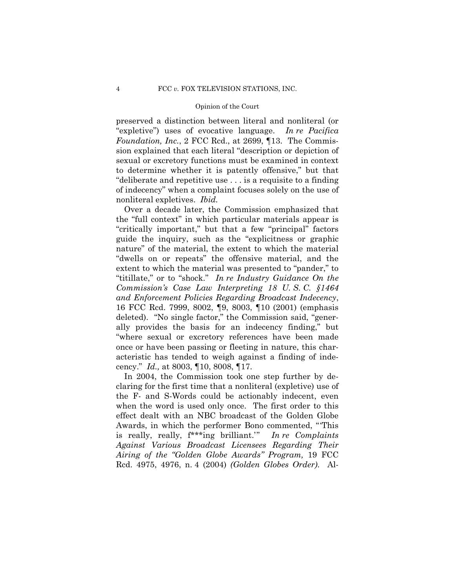preserved a distinction between literal and nonliteral (or "expletive") uses of evocative language. *In re Pacifica Foundation, Inc.*, 2 FCC Rcd., at 2699, ¶13. The Commission explained that each literal "description or depiction of sexual or excretory functions must be examined in context to determine whether it is patently offensive," but that "deliberate and repetitive use . . . is a requisite to a finding of indecency" when a complaint focuses solely on the use of nonliteral expletives. *Ibid.* 

Over a decade later, the Commission emphasized that the "full context" in which particular materials appear is "critically important," but that a few "principal" factors guide the inquiry, such as the "explicitness or graphic nature" of the material, the extent to which the material "dwells on or repeats" the offensive material, and the extent to which the material was presented to "pander," to "titillate," or to "shock." *In re Industry Guidance On the Commission's Case Law Interpreting 18 U. S. C. §1464 and Enforcement Policies Regarding Broadcast Indecency*, 16 FCC Rcd. 7999, 8002, ¶9, 8003, ¶10 (2001) (emphasis deleted). "No single factor," the Commission said, "generally provides the basis for an indecency finding," but "where sexual or excretory references have been made once or have been passing or fleeting in nature, this characteristic has tended to weigh against a finding of indecency." *Id.,* at 8003, ¶10, 8008, ¶17.

In 2004, the Commission took one step further by declaring for the first time that a nonliteral (expletive) use of the F- and S-Words could be actionably indecent, even when the word is used only once. The first order to this effect dealt with an NBC broadcast of the Golden Globe Awards, in which the performer Bono commented, "'This is really, really, f\*\*\*ing brilliant.'" *In re Complaints Against Various Broadcast Licensees Regarding Their Airing of the "Golden Globe Awards" Program,* 19 FCC Rcd. 4975, 4976, n. 4 (2004) *(Golden Globes Order)*. Al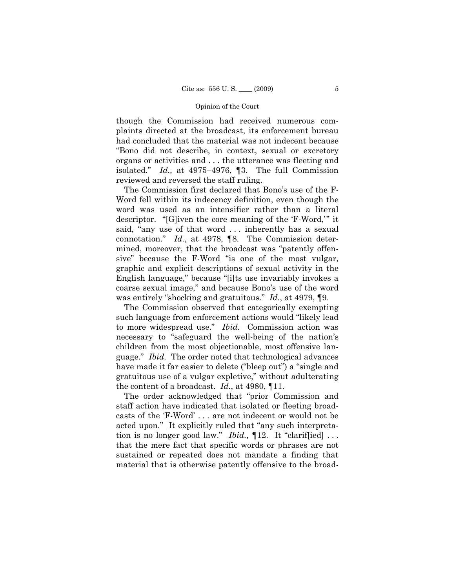though the Commission had received numerous complaints directed at the broadcast, its enforcement bureau had concluded that the material was not indecent because "Bono did not describe, in context, sexual or excretory organs or activities and . . . the utterance was fleeting and isolated." *Id.,* at 4975–4976, ¶3. The full Commission reviewed and reversed the staff ruling.

The Commission first declared that Bono's use of the F-Word fell within its indecency definition, even though the word was used as an intensifier rather than a literal descriptor. "[G]iven the core meaning of the 'F-Word,'" it said, "any use of that word ... inherently has a sexual connotation." *Id.*, at 4978, ¶8. The Commission determined, moreover, that the broadcast was "patently offensive" because the F-Word "is one of the most vulgar, graphic and explicit descriptions of sexual activity in the English language," because "[i]ts use invariably invokes a coarse sexual image," and because Bono's use of the word was entirely "shocking and gratuitous." *Id.*, at 4979, ¶9.

The Commission observed that categorically exempting such language from enforcement actions would "likely lead to more widespread use." *Ibid.* Commission action was necessary to "safeguard the well-being of the nation's children from the most objectionable, most offensive language." *Ibid.* The order noted that technological advances have made it far easier to delete ("bleep out") a "single and gratuitous use of a vulgar expletive," without adulterating the content of a broadcast. *Id.*, at 4980, ¶11.

The order acknowledged that "prior Commission and staff action have indicated that isolated or fleeting broadcasts of the 'F-Word' . . . are not indecent or would not be acted upon." It explicitly ruled that "any such interpretation is no longer good law." *Ibid.,* ¶12. It "clarif[ied] . . . that the mere fact that specific words or phrases are not sustained or repeated does not mandate a finding that material that is otherwise patently offensive to the broad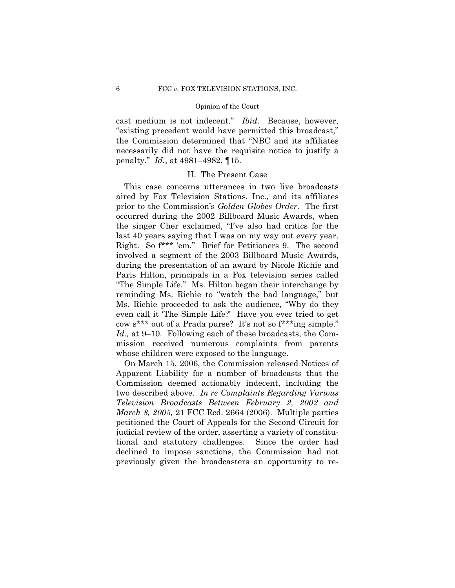cast medium is not indecent." *Ibid.* Because, however, "existing precedent would have permitted this broadcast," the Commission determined that "NBC and its affiliates necessarily did not have the requisite notice to justify a penalty." *Id.*, at 4981–4982, ¶15.

# II. The Present Case

This case concerns utterances in two live broadcasts aired by Fox Television Stations, Inc., and its affiliates prior to the Commission's *Golden Globes Order*. The first occurred during the 2002 Billboard Music Awards, when the singer Cher exclaimed, "I've also had critics for the last 40 years saying that I was on my way out every year. Right. So f\*\*\* 'em." Brief for Petitioners 9. The second involved a segment of the 2003 Billboard Music Awards, during the presentation of an award by Nicole Richie and Paris Hilton, principals in a Fox television series called "The Simple Life." Ms. Hilton began their interchange by reminding Ms. Richie to "watch the bad language," but Ms. Richie proceeded to ask the audience, "Why do they even call it 'The Simple Life?' Have you ever tried to get cow s\*\*\* out of a Prada purse? It's not so f\*\*\*ing simple." *Id.,* at 9–10. Following each of these broadcasts, the Commission received numerous complaints from parents whose children were exposed to the language.

On March 15, 2006, the Commission released Notices of Apparent Liability for a number of broadcasts that the Commission deemed actionably indecent, including the two described above. *In re Complaints Regarding Various Television Broadcasts Between February 2, 2002 and March 8, 2005,* 21 FCC Rcd. 2664 (2006). Multiple parties petitioned the Court of Appeals for the Second Circuit for judicial review of the order, asserting a variety of constitutional and statutory challenges. Since the order had declined to impose sanctions, the Commission had not previously given the broadcasters an opportunity to re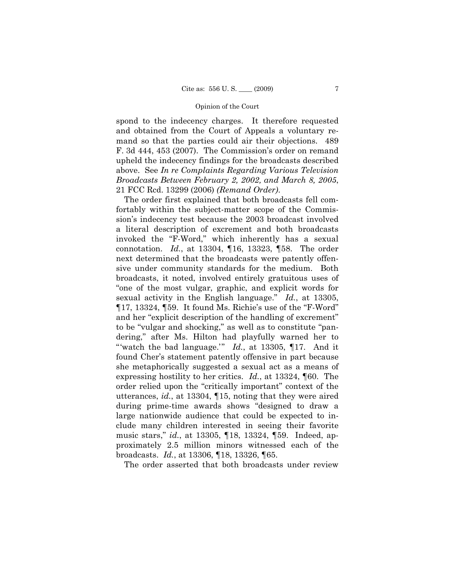spond to the indecency charges. It therefore requested and obtained from the Court of Appeals a voluntary remand so that the parties could air their objections. 489 F. 3d 444, 453 (2007). The Commission's order on remand upheld the indecency findings for the broadcasts described above. See *In re Complaints Regarding Various Television Broadcasts Between February 2, 2002, and March 8, 2005*, 21 FCC Rcd. 13299 (2006) *(Remand Order)*.

The order first explained that both broadcasts fell comfortably within the subject-matter scope of the Commission's indecency test because the 2003 broadcast involved a literal description of excrement and both broadcasts invoked the "F-Word," which inherently has a sexual connotation. *Id.*, at 13304, ¶16, 13323, ¶58. The order next determined that the broadcasts were patently offensive under community standards for the medium. Both broadcasts, it noted, involved entirely gratuitous uses of "one of the most vulgar, graphic, and explicit words for sexual activity in the English language." *Id.*, at 13305, ¶17, 13324, ¶59. It found Ms. Richie's use of the "F-Word" and her "explicit description of the handling of excrement" to be "vulgar and shocking," as well as to constitute "pandering," after Ms. Hilton had playfully warned her to "'watch the bad language.'" *Id.*, at 13305, ¶17. And it found Cher's statement patently offensive in part because she metaphorically suggested a sexual act as a means of expressing hostility to her critics. *Id.*, at 13324, ¶60. The order relied upon the "critically important" context of the utterances, *id.*, at 13304, ¶15, noting that they were aired during prime-time awards shows "designed to draw a large nationwide audience that could be expected to include many children interested in seeing their favorite music stars," *id.*, at 13305, ¶18, 13324, ¶59. Indeed, approximately 2.5 million minors witnessed each of the broadcasts. *Id.*, at 13306, ¶18, 13326, ¶65.

The order asserted that both broadcasts under review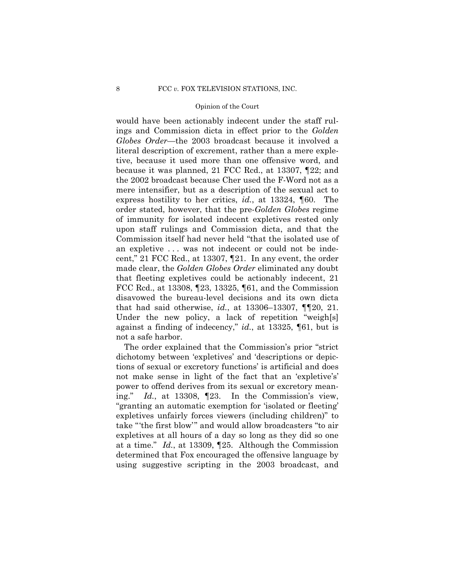would have been actionably indecent under the staff rulings and Commission dicta in effect prior to the *Golden Globes Order*—the 2003 broadcast because it involved a literal description of excrement, rather than a mere expletive, because it used more than one offensive word, and because it was planned, 21 FCC Rcd., at 13307, ¶22; and the 2002 broadcast because Cher used the F-Word not as a mere intensifier, but as a description of the sexual act to express hostility to her critics, *id.*, at 13324, ¶60. The order stated, however, that the pre-*Golden Globes* regime of immunity for isolated indecent expletives rested only upon staff rulings and Commission dicta, and that the Commission itself had never held "that the isolated use of an expletive ... was not indecent or could not be indecent," 21 FCC Rcd., at 13307, ¶21. In any event, the order made clear, the *Golden Globes Order* eliminated any doubt that fleeting expletives could be actionably indecent, 21 FCC Rcd., at 13308, ¶23, 13325, ¶61, and the Commission disavowed the bureau-level decisions and its own dicta that had said otherwise, *id.*, at 13306–13307, ¶¶20, 21. Under the new policy, a lack of repetition "weigh[s] against a finding of indecency," *id.*, at 13325, ¶61, but is not a safe harbor.

The order explained that the Commission's prior "strict dichotomy between 'expletives' and 'descriptions or depictions of sexual or excretory functions' is artificial and does not make sense in light of the fact that an 'expletive's' power to offend derives from its sexual or excretory meaning." *Id.*, at 13308, ¶23. In the Commission's view, "granting an automatic exemption for 'isolated or fleeting' expletives unfairly forces viewers (including children)" to take "'the first blow'" and would allow broadcasters "to air expletives at all hours of a day so long as they did so one at a time." *Id.*, at 13309, ¶25. Although the Commission determined that Fox encouraged the offensive language by using suggestive scripting in the 2003 broadcast, and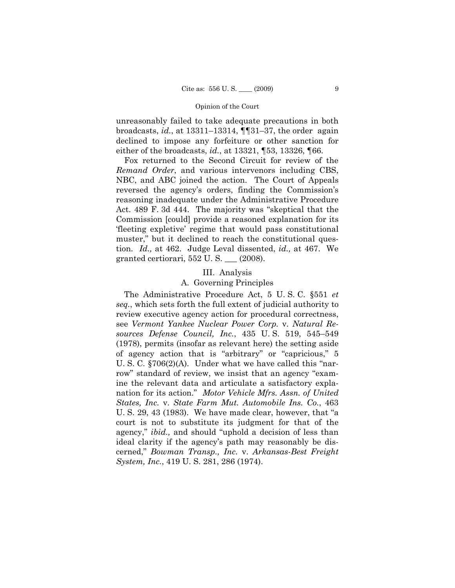unreasonably failed to take adequate precautions in both broadcasts, *id.*, at 13311–13314, ¶¶31–37, the order again declined to impose any forfeiture or other sanction for either of the broadcasts, *id.*, at 13321, ¶53, 13326, ¶66.

Fox returned to the Second Circuit for review of the *Remand Order*, and various intervenors including CBS, NBC, and ABC joined the action. The Court of Appeals reversed the agency's orders, finding the Commission's reasoning inadequate under the Administrative Procedure Act. 489 F. 3d 444. The majority was "skeptical that the Commission [could] provide a reasoned explanation for its 'fleeting expletive' regime that would pass constitutional muster," but it declined to reach the constitutional question. *Id.,* at 462. Judge Leval dissented, *id.,* at 467. We granted certiorari, 552 U. S. \_\_\_ (2008).

# III. Analysis

# A. Governing Principles

The Administrative Procedure Act, 5 U. S. C. §551 *et seq.*, which sets forth the full extent of judicial authority to review executive agency action for procedural correctness, see *Vermont Yankee Nuclear Power Corp.* v. *Natural Resources Defense Council, Inc.*, 435 U. S. 519, 545–549 (1978), permits (insofar as relevant here) the setting aside of agency action that is "arbitrary" or "capricious," 5 U. S. C. §706(2)(A). Under what we have called this "narrow" standard of review, we insist that an agency "examine the relevant data and articulate a satisfactory explanation for its action." *Motor Vehicle Mfrs. Assn. of United States, Inc.* v. *State Farm Mut. Automobile Ins. Co.*, 463 U. S. 29, 43 (1983). We have made clear, however, that "a court is not to substitute its judgment for that of the agency," *ibid.,* and should "uphold a decision of less than ideal clarity if the agency's path may reasonably be discerned," *Bowman Transp., Inc.* v. *Arkansas-Best Freight System, Inc.*, 419 U. S. 281, 286 (1974).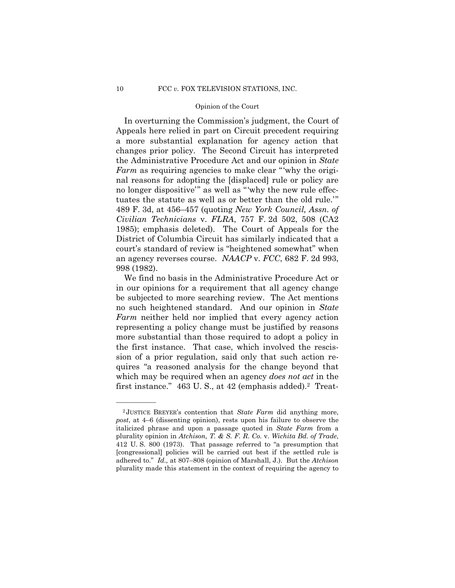In overturning the Commission's judgment, the Court of Appeals here relied in part on Circuit precedent requiring a more substantial explanation for agency action that changes prior policy. The Second Circuit has interpreted the Administrative Procedure Act and our opinion in *State Farm* as requiring agencies to make clear "'why the original reasons for adopting the [displaced] rule or policy are no longer dispositive'" as well as "'why the new rule effectuates the statute as well as or better than the old rule.'" 489 F. 3d, at 456–457 (quoting *New York Council, Assn. of Civilian Technicians* v. *FLRA*, 757 F. 2d 502, 508 (CA2 1985); emphasis deleted). The Court of Appeals for the District of Columbia Circuit has similarly indicated that a court's standard of review is "heightened somewhat" when an agency reverses course. *NAACP* v. *FCC*, 682 F. 2d 993, 998 (1982).

We find no basis in the Administrative Procedure Act or in our opinions for a requirement that all agency change be subjected to more searching review. The Act mentions no such heightened standard. And our opinion in *State Farm* neither held nor implied that every agency action representing a policy change must be justified by reasons more substantial than those required to adopt a policy in the first instance. That case, which involved the rescission of a prior regulation, said only that such action requires "a reasoned analysis for the change beyond that which may be required when an agency *does not act* in the first instance." 463 U.S., at 42 (emphasis added).<sup>2</sup> Treat-

<sup>2</sup> JUSTICE BREYER's contention that *State Farm* did anything more, *post*, at 4–6 (dissenting opinion), rests upon his failure to observe the italicized phrase and upon a passage quoted in *State Farm* from a plurality opinion in *Atchison, T. & S. F. R. Co.* v. *Wichita Bd. of Trade*, 412 U. S. 800 (1973). That passage referred to "a presumption that [congressional] policies will be carried out best if the settled rule is adhered to." *Id.,* at 807–808 (opinion of Marshall, J.). But the *Atchison*  plurality made this statement in the context of requiring the agency to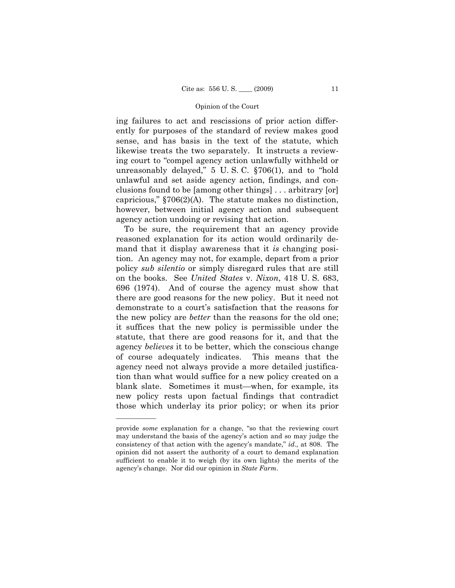ing failures to act and rescissions of prior action differently for purposes of the standard of review makes good sense, and has basis in the text of the statute, which likewise treats the two separately. It instructs a reviewing court to "compel agency action unlawfully withheld or unreasonably delayed," 5 U. S. C. §706(1), and to "hold unlawful and set aside agency action, findings, and conclusions found to be [among other things] . . . arbitrary [or] capricious,"  $\sqrt{706(2)}$ (A). The statute makes no distinction, however, between initial agency action and subsequent agency action undoing or revising that action.

To be sure, the requirement that an agency provide reasoned explanation for its action would ordinarily demand that it display awareness that it *is* changing position. An agency may not, for example, depart from a prior policy *sub silentio* or simply disregard rules that are still on the books. See *United States* v. *Nixon*, 418 U. S. 683, 696 (1974). And of course the agency must show that there are good reasons for the new policy. But it need not demonstrate to a court's satisfaction that the reasons for the new policy are *better* than the reasons for the old one; it suffices that the new policy is permissible under the statute, that there are good reasons for it, and that the agency *believes* it to be better, which the conscious change of course adequately indicates. This means that the agency need not always provide a more detailed justification than what would suffice for a new policy created on a blank slate. Sometimes it must—when, for example, its new policy rests upon factual findings that contradict those which underlay its prior policy; or when its prior

provide *some* explanation for a change, "so that the reviewing court may understand the basis of the agency's action and so may judge the consistency of that action with the agency's mandate," *id.,* at 808. The opinion did not assert the authority of a court to demand explanation sufficient to enable it to weigh (by its own lights) the merits of the agency's change. Nor did our opinion in *State Farm*.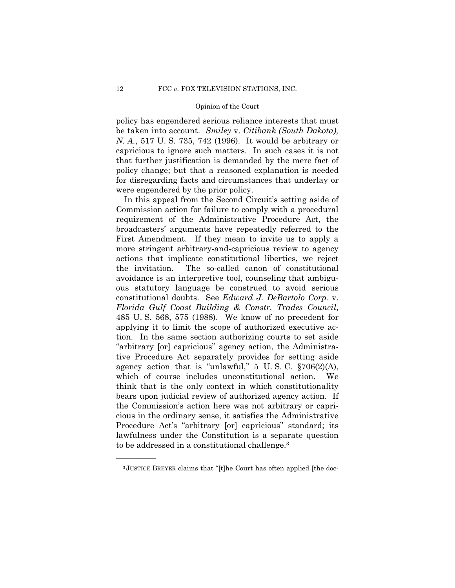policy has engendered serious reliance interests that must be taken into account. *Smiley* v. *Citibank (South Dakota), N. A.*, 517 U. S. 735, 742 (1996). It would be arbitrary or capricious to ignore such matters. In such cases it is not that further justification is demanded by the mere fact of policy change; but that a reasoned explanation is needed for disregarding facts and circumstances that underlay or were engendered by the prior policy.

In this appeal from the Second Circuit's setting aside of Commission action for failure to comply with a procedural requirement of the Administrative Procedure Act, the broadcasters' arguments have repeatedly referred to the First Amendment. If they mean to invite us to apply a more stringent arbitrary-and-capricious review to agency actions that implicate constitutional liberties, we reject the invitation. The so-called canon of constitutional avoidance is an interpretive tool, counseling that ambiguous statutory language be construed to avoid serious constitutional doubts. See *Edward J. DeBartolo Corp.* v. *Florida Gulf Coast Building & Constr. Trades Council*, 485 U. S. 568, 575 (1988). We know of no precedent for applying it to limit the scope of authorized executive action. In the same section authorizing courts to set aside "arbitrary [or] capricious" agency action, the Administrative Procedure Act separately provides for setting aside agency action that is "unlawful,"  $5 \text{ U.S. C. }$   $\S706(2)(\text{A})$ , which of course includes unconstitutional action. We think that is the only context in which constitutionality bears upon judicial review of authorized agency action. If the Commission's action here was not arbitrary or capricious in the ordinary sense, it satisfies the Administrative Procedure Act's "arbitrary [or] capricious" standard; its lawfulness under the Constitution is a separate question to be addressed in a constitutional challenge.3

<sup>3</sup> JUSTICE BREYER claims that "[t]he Court has often applied [the doc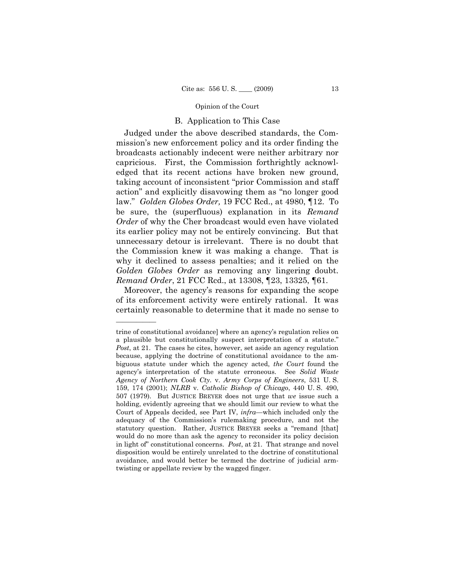## B. Application to This Case

Judged under the above described standards, the Commission's new enforcement policy and its order finding the broadcasts actionably indecent were neither arbitrary nor capricious. First, the Commission forthrightly acknowledged that its recent actions have broken new ground, taking account of inconsistent "prior Commission and staff action" and explicitly disavowing them as "no longer good law." *Golden Globes Order,* 19 FCC Rcd., at 4980, ¶12. To be sure, the (superfluous) explanation in its *Remand Order* of why the Cher broadcast would even have violated its earlier policy may not be entirely convincing. But that unnecessary detour is irrelevant. There is no doubt that the Commission knew it was making a change. That is why it declined to assess penalties; and it relied on the *Golden Globes Order* as removing any lingering doubt. *Remand Order*, 21 FCC Rcd., at 13308, ¶23, 13325, ¶61.

Moreover, the agency's reasons for expanding the scope of its enforcement activity were entirely rational. It was certainly reasonable to determine that it made no sense to

trine of constitutional avoidance] where an agency's regulation relies on a plausible but constitutionally suspect interpretation of a statute." *Post*, at 21. The cases he cites, however, set aside an agency regulation because, applying the doctrine of constitutional avoidance to the ambiguous statute under which the agency acted, *the Court* found the agency's interpretation of the statute erroneous. See *Solid Waste Agency of Northern Cook Cty.* v. *Army Corps of Engineers*, 531 U. S. 159, 174 (2001); *NLRB* v. *Catholic Bishop of Chicago*, 440 U. S. 490, 507 (1979). But JUSTICE BREYER does not urge that *we* issue such a holding, evidently agreeing that we should limit our review to what the Court of Appeals decided, see Part IV, *infra*—which included only the adequacy of the Commission's rulemaking procedure, and not the statutory question. Rather, JUSTICE BREYER seeks a "remand [that] would do no more than ask the agency to reconsider its policy decision in light of" constitutional concerns. *Post*, at 21. That strange and novel disposition would be entirely unrelated to the doctrine of constitutional avoidance, and would better be termed the doctrine of judicial armtwisting or appellate review by the wagged finger.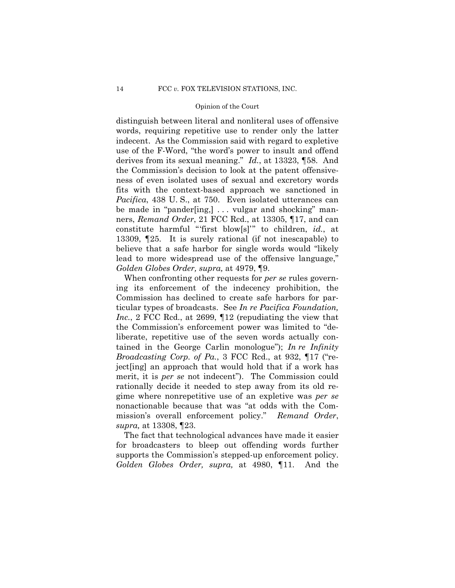distinguish between literal and nonliteral uses of offensive words, requiring repetitive use to render only the latter indecent. As the Commission said with regard to expletive use of the F-Word, "the word's power to insult and offend derives from its sexual meaning." *Id.*, at 13323, ¶58. And the Commission's decision to look at the patent offensiveness of even isolated uses of sexual and excretory words fits with the context-based approach we sanctioned in *Pacifica*, 438 U. S., at 750. Even isolated utterances can be made in "pander[ing,] . . . vulgar and shocking" manners, *Remand Order*, 21 FCC Rcd., at 13305, ¶17, and can constitute harmful "'first blow[s]'" to children, *id.*, at 13309, ¶25. It is surely rational (if not inescapable) to believe that a safe harbor for single words would "likely lead to more widespread use of the offensive language, *Golden Globes Order, supra,* at 4979, ¶9.

When confronting other requests for *per se* rules governing its enforcement of the indecency prohibition, the Commission has declined to create safe harbors for particular types of broadcasts. See *In re Pacifica Foundation, Inc.*, 2 FCC Rcd., at 2699, ¶12 (repudiating the view that the Commission's enforcement power was limited to "deliberate, repetitive use of the seven words actually contained in the George Carlin monologue"); *In re Infinity Broadcasting Corp. of Pa.*, 3 FCC Rcd., at 932, ¶17 ("reject[ing] an approach that would hold that if a work has merit, it is *per se* not indecent"). The Commission could rationally decide it needed to step away from its old regime where nonrepetitive use of an expletive was *per se* nonactionable because that was "at odds with the Commission's overall enforcement policy." *Remand Order*, *supra,* at 13308, ¶23.

The fact that technological advances have made it easier for broadcasters to bleep out offending words further supports the Commission's stepped-up enforcement policy. *Golden Globes Order, supra,* at 4980, ¶11. And the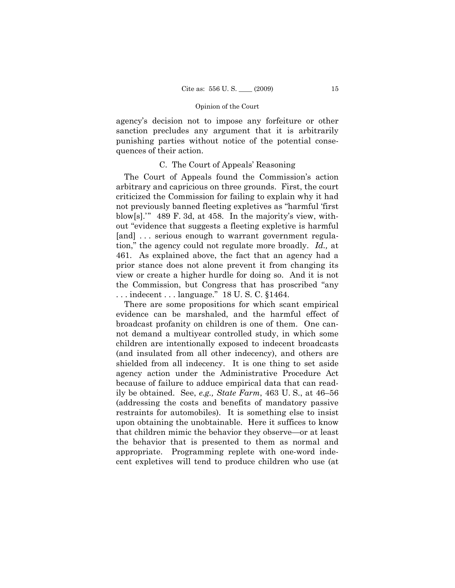agency's decision not to impose any forfeiture or other sanction precludes any argument that it is arbitrarily punishing parties without notice of the potential consequences of their action.

# C. The Court of Appeals' Reasoning

The Court of Appeals found the Commission's action arbitrary and capricious on three grounds. First, the court criticized the Commission for failing to explain why it had not previously banned fleeting expletives as "harmful 'first blow[s].'" 489 F. 3d, at 458. In the majority's view, without "evidence that suggests a fleeting expletive is harmful [and] ... serious enough to warrant government regulation," the agency could not regulate more broadly. *Id.,* at 461. As explained above, the fact that an agency had a prior stance does not alone prevent it from changing its view or create a higher hurdle for doing so. And it is not the Commission, but Congress that has proscribed "any . . . indecent . . . language." 18 U. S. C. §1464.

There are some propositions for which scant empirical evidence can be marshaled, and the harmful effect of broadcast profanity on children is one of them. One cannot demand a multiyear controlled study, in which some children are intentionally exposed to indecent broadcasts (and insulated from all other indecency), and others are shielded from all indecency. It is one thing to set aside agency action under the Administrative Procedure Act because of failure to adduce empirical data that can readily be obtained. See, *e.g., State Farm*, 463 U. S., at 46–56 (addressing the costs and benefits of mandatory passive restraints for automobiles). It is something else to insist upon obtaining the unobtainable. Here it suffices to know that children mimic the behavior they observe—or at least the behavior that is presented to them as normal and appropriate. Programming replete with one-word indecent expletives will tend to produce children who use (at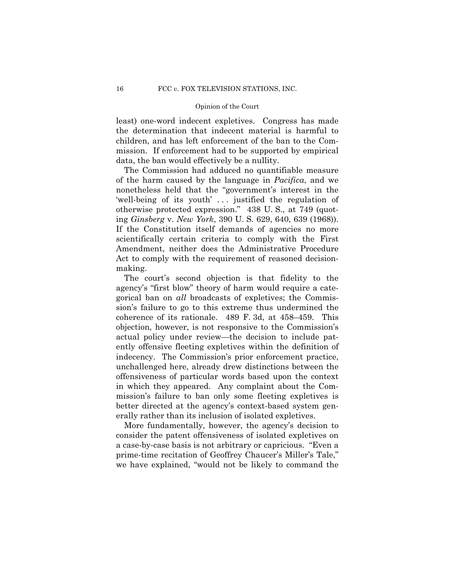least) one-word indecent expletives. Congress has made the determination that indecent material is harmful to children, and has left enforcement of the ban to the Commission. If enforcement had to be supported by empirical data, the ban would effectively be a nullity.

The Commission had adduced no quantifiable measure of the harm caused by the language in *Pacifica*, and we nonetheless held that the "government's interest in the 'well-being of its youth' . . . justified the regulation of otherwise protected expression." 438 U. S., at 749 (quoting *Ginsberg* v. *New York*, 390 U. S. 629, 640, 639 (1968)). If the Constitution itself demands of agencies no more scientifically certain criteria to comply with the First Amendment, neither does the Administrative Procedure Act to comply with the requirement of reasoned decisionmaking.

The court's second objection is that fidelity to the agency's "first blow" theory of harm would require a categorical ban on *all* broadcasts of expletives; the Commission's failure to go to this extreme thus undermined the coherence of its rationale. 489 F. 3d, at 458–459. This objection, however, is not responsive to the Commission's actual policy under review—the decision to include patently offensive fleeting expletives within the definition of indecency. The Commission's prior enforcement practice, unchallenged here, already drew distinctions between the offensiveness of particular words based upon the context in which they appeared. Any complaint about the Commission's failure to ban only some fleeting expletives is better directed at the agency's context-based system generally rather than its inclusion of isolated expletives.

More fundamentally, however, the agency's decision to consider the patent offensiveness of isolated expletives on a case-by-case basis is not arbitrary or capricious. "Even a prime-time recitation of Geoffrey Chaucer's Miller's Tale," we have explained, "would not be likely to command the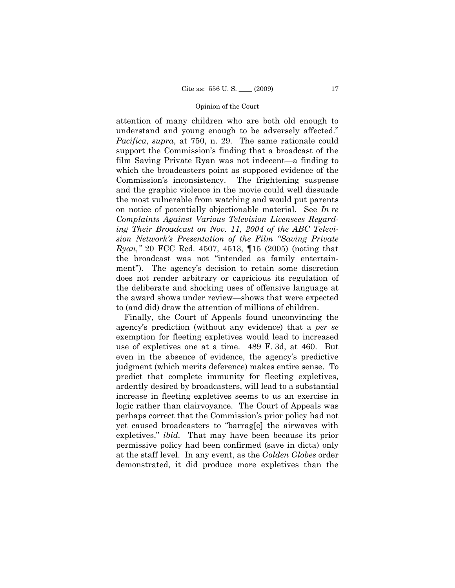attention of many children who are both old enough to understand and young enough to be adversely affected." *Pacifica*, *supra*, at 750, n. 29. The same rationale could support the Commission's finding that a broadcast of the film Saving Private Ryan was not indecent—a finding to which the broadcasters point as supposed evidence of the Commission's inconsistency. The frightening suspense and the graphic violence in the movie could well dissuade the most vulnerable from watching and would put parents on notice of potentially objectionable material. See *In re Complaints Against Various Television Licensees Regarding Their Broadcast on Nov. 11, 2004 of the ABC Television Network's Presentation of the Film "Saving Private Ryan,"* 20 FCC Rcd. 4507, 4513, ¶15 (2005) (noting that the broadcast was not "intended as family entertainment"). The agency's decision to retain some discretion does not render arbitrary or capricious its regulation of the deliberate and shocking uses of offensive language at the award shows under review—shows that were expected to (and did) draw the attention of millions of children.

Finally, the Court of Appeals found unconvincing the agency's prediction (without any evidence) that a *per se* exemption for fleeting expletives would lead to increased use of expletives one at a time. 489 F. 3d, at 460. But even in the absence of evidence, the agency's predictive judgment (which merits deference) makes entire sense. To predict that complete immunity for fleeting expletives, ardently desired by broadcasters, will lead to a substantial increase in fleeting expletives seems to us an exercise in logic rather than clairvoyance. The Court of Appeals was perhaps correct that the Commission's prior policy had not yet caused broadcasters to "barrag[e] the airwaves with expletives," *ibid.* That may have been because its prior permissive policy had been confirmed (save in dicta) only at the staff level. In any event, as the *Golden Globes* order demonstrated, it did produce more expletives than the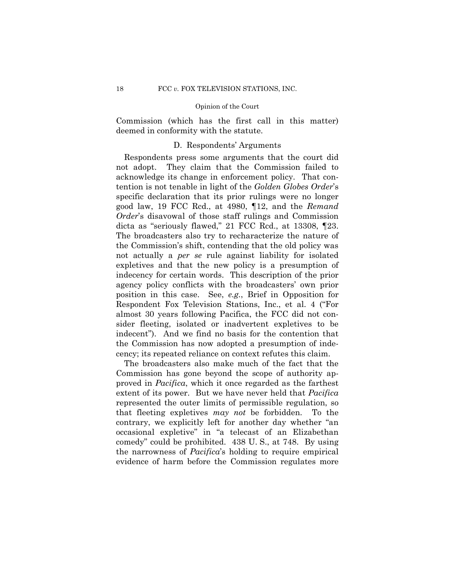Commission (which has the first call in this matter) deemed in conformity with the statute.

### D. Respondents' Arguments

Respondents press some arguments that the court did not adopt. They claim that the Commission failed to acknowledge its change in enforcement policy. That contention is not tenable in light of the *Golden Globes Order*'s specific declaration that its prior rulings were no longer good law, 19 FCC Rcd., at 4980, ¶12, and the *Remand Order*'s disavowal of those staff rulings and Commission dicta as "seriously flawed," 21 FCC Rcd., at 13308, ¶23. The broadcasters also try to recharacterize the nature of the Commission's shift, contending that the old policy was not actually a *per se* rule against liability for isolated expletives and that the new policy is a presumption of indecency for certain words. This description of the prior agency policy conflicts with the broadcasters' own prior position in this case. See, *e.g.*, Brief in Opposition for Respondent Fox Television Stations, Inc., et al. 4 ("For almost 30 years following Pacifica, the FCC did not consider fleeting, isolated or inadvertent expletives to be indecent"). And we find no basis for the contention that the Commission has now adopted a presumption of indecency; its repeated reliance on context refutes this claim.

The broadcasters also make much of the fact that the Commission has gone beyond the scope of authority approved in *Pacifica*, which it once regarded as the farthest extent of its power. But we have never held that *Pacifica*  represented the outer limits of permissible regulation, so that fleeting expletives *may not* be forbidden. To the contrary, we explicitly left for another day whether "an occasional expletive" in "a telecast of an Elizabethan comedy" could be prohibited. 438 U. S., at 748. By using the narrowness of *Pacifica*'s holding to require empirical evidence of harm before the Commission regulates more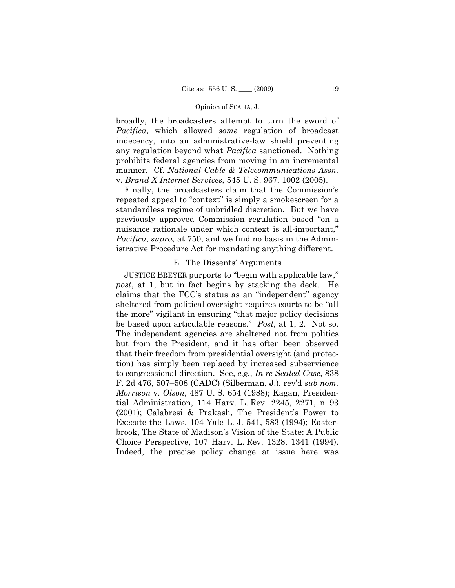broadly, the broadcasters attempt to turn the sword of *Pacifica*, which allowed *some* regulation of broadcast indecency, into an administrative-law shield preventing any regulation beyond what *Pacifica* sanctioned. Nothing prohibits federal agencies from moving in an incremental manner. Cf. *National Cable & Telecommunications Assn.*  v. *Brand X Internet Services*, 545 U. S. 967, 1002 (2005).

Finally, the broadcasters claim that the Commission's repeated appeal to "context" is simply a smokescreen for a standardless regime of unbridled discretion. But we have previously approved Commission regulation based "on a nuisance rationale under which context is all-important," *Pacifica*, *supra,* at 750, and we find no basis in the Administrative Procedure Act for mandating anything different.

# E. The Dissents' Arguments

JUSTICE BREYER purports to "begin with applicable law," *post*, at 1, but in fact begins by stacking the deck. He claims that the FCC's status as an "independent" agency sheltered from political oversight requires courts to be "all the more" vigilant in ensuring "that major policy decisions be based upon articulable reasons." *Post*, at 1, 2. Not so. The independent agencies are sheltered not from politics but from the President, and it has often been observed that their freedom from presidential oversight (and protection) has simply been replaced by increased subservience to congressional direction. See, *e.g.*, *In re Sealed Case*, 838 F. 2d 476, 507–508 (CADC) (Silberman, J.), rev'd *sub nom. Morrison* v. *Olson*, 487 U. S. 654 (1988); Kagan, Presidential Administration, 114 Harv. L. Rev. 2245, 2271, n. 93 (2001); Calabresi & Prakash, The President's Power to Execute the Laws, 104 Yale L. J. 541, 583 (1994); Easterbrook, The State of Madison's Vision of the State: A Public Choice Perspective, 107 Harv. L. Rev. 1328, 1341 (1994). Indeed, the precise policy change at issue here was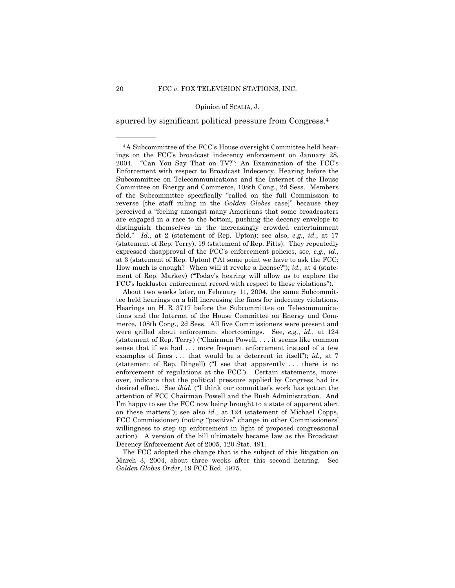spurred by significant political pressure from Congress.<sup>4</sup>

The FCC adopted the change that is the subject of this litigation on March 3, 2004, about three weeks after this second hearing. See *Golden Globes Order*, 19 FCC Rcd. 4975.

<sup>4</sup>A Subcommittee of the FCC's House oversight Committee held hearings on the FCC's broadcast indecency enforcement on January 28, 2004. "Can You Say That on TV?": An Examination of the FCC's Enforcement with respect to Broadcast Indecency, Hearing before the Subcommittee on Telecommunications and the Internet of the House Committee on Energy and Commerce, 108th Cong., 2d Sess. Members of the Subcommittee specifically "called on the full Commission to reverse [the staff ruling in the *Golden Globes* case]" because they perceived a "feeling amongst many Americans that some broadcasters are engaged in a race to the bottom, pushing the decency envelope to distinguish themselves in the increasingly crowded entertainment field." *Id.*, at 2 (statement of Rep. Upton); see also, *e.g.*, *id.*, at 17 (statement of Rep. Terry), 19 (statement of Rep. Pitts). They repeatedly expressed disapproval of the FCC's enforcement policies, see, *e.g.*, *id.*, at 3 (statement of Rep. Upton) ("At some point we have to ask the FCC: How much is enough? When will it revoke a license?"); *id.,* at 4 (statement of Rep. Markey) ("Today's hearing will allow us to explore the FCC's lackluster enforcement record with respect to these violations").

About two weeks later, on February 11, 2004, the same Subcommittee held hearings on a bill increasing the fines for indecency violations. Hearings on H. R 3717 before the Subcommittee on Telecommunications and the Internet of the House Committee on Energy and Commerce, 108th Cong., 2d Sess. All five Commissioners were present and were grilled about enforcement shortcomings. See, *e.g.*, *id.*, at 124 (statement of Rep. Terry) ("Chairman Powell, . . . it seems like common sense that if we had . . . more frequent enforcement instead of a few examples of fines . . . that would be a deterrent in itself"); *id.,* at 7 (statement of Rep. Dingell) ("I see that apparently . . . there is no enforcement of regulations at the FCC"). Certain statements, moreover, indicate that the political pressure applied by Congress had its desired effect. See *ibid.* ("I think our committee's work has gotten the attention of FCC Chairman Powell and the Bush Administration. And I'm happy to see the FCC now being brought to a state of apparent alert on these matters"); see also *id.,* at 124 (statement of Michael Copps, FCC Commissioner) (noting "positive" change in other Commissioners' willingness to step up enforcement in light of proposed congressional action). A version of the bill ultimately became law as the Broadcast Decency Enforcement Act of 2005, 120 Stat. 491.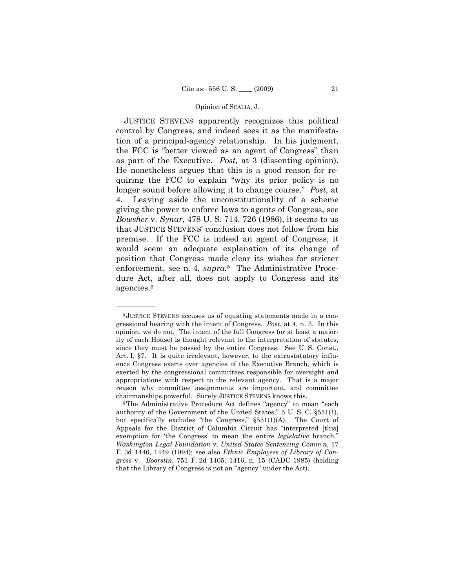JUSTICE STEVENS apparently recognizes this political control by Congress, and indeed sees it as the manifestation of a principal-agency relationship. In his judgment, the FCC is "better viewed as an agent of Congress" than as part of the Executive. *Post,* at 3 (dissenting opinion). He nonetheless argues that this is a good reason for requiring the FCC to explain "why its prior policy is no longer sound before allowing it to change course." *Post,* at 4. Leaving aside the unconstitutionality of a scheme giving the power to enforce laws to agents of Congress, see *Bowsher* v. *Synar*, 478 U. S. 714, 726 (1986), it seems to us that JUSTICE STEVENS' conclusion does not follow from his premise. If the FCC is indeed an agent of Congress, it would seem an adequate explanation of its change of position that Congress made clear its wishes for stricter enforcement, see n. 4, *supra.*5 The Administrative Procedure Act, after all, does not apply to Congress and its agencies.6

<sup>5</sup> JUSTICE STEVENS accuses us of equating statements made in a congressional hearing with the intent of Congress. *Post*, at 4, n. 3. In this opinion, we do not. The intent of the full Congress (or at least a majority of each House) is thought relevant to the interpretation of statutes, since they must be passed by the entire Congress. See U. S. Const., Art. I, §7. It is quite irrelevant, however, to the extrastatutory influence Congress exerts over agencies of the Executive Branch, which is exerted by the congressional committees responsible for oversight and appropriations with respect to the relevant agency. That is a major reason why committee assignments are important, and committee chairmanships powerful. Surely JUSTICE STEVENS knows this. 6The Administrative Procedure Act defines "agency" to mean "each

authority of the Government of the United States," 5 U. S. C. §551(1), but specifically excludes "the Congress," §551(1)(A). The Court of Appeals for the District of Columbia Circuit has "interpreted [this] exemption for 'the Congress' to mean the entire *legislative* branch," *Washington Legal Foundation* v. *United States Sentencing Comm'n*, 17 F. 3d 1446, 1449 (1994); see also *Ethnic Employees of Library of Congress* v. *Boorstin*, 751 F. 2d 1405, 1416, n. 15 (CADC 1985) (holding that the Library of Congress is not an "agency" under the Act).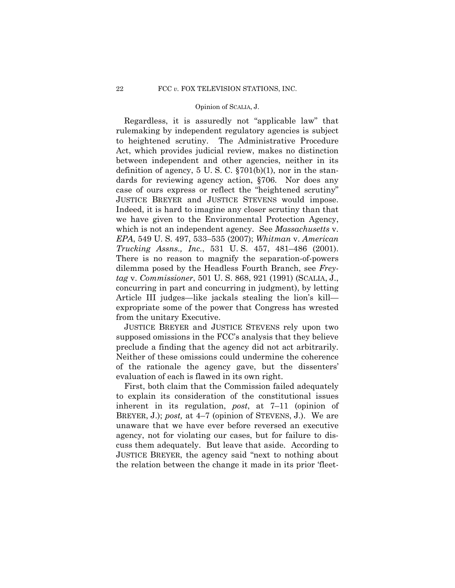Regardless, it is assuredly not "applicable law" that rulemaking by independent regulatory agencies is subject to heightened scrutiny. The Administrative Procedure Act, which provides judicial review, makes no distinction between independent and other agencies, neither in its definition of agency,  $5 \text{ U.S. C. }$   $\S701(b)(1)$ , nor in the standards for reviewing agency action, §706. Nor does any case of ours express or reflect the "heightened scrutiny" JUSTICE BREYER and JUSTICE STEVENS would impose. Indeed, it is hard to imagine any closer scrutiny than that we have given to the Environmental Protection Agency, which is not an independent agency. See *Massachusetts* v. *EPA*, 549 U. S. 497, 533–535 (2007); *Whitman* v. *American Trucking Assns., Inc.*, 531 U. S. 457, 481–486 (2001). There is no reason to magnify the separation-of-powers dilemma posed by the Headless Fourth Branch, see *Freytag* v. *Commissioner*, 501 U. S. 868, 921 (1991) (SCALIA, J., concurring in part and concurring in judgment), by letting Article III judges—like jackals stealing the lion's kill expropriate some of the power that Congress has wrested from the unitary Executive.

JUSTICE BREYER and JUSTICE STEVENS rely upon two supposed omissions in the FCC's analysis that they believe preclude a finding that the agency did not act arbitrarily. Neither of these omissions could undermine the coherence of the rationale the agency gave, but the dissenters' evaluation of each is flawed in its own right.

First, both claim that the Commission failed adequately to explain its consideration of the constitutional issues inherent in its regulation, *post*, at 7–11 (opinion of BREYER, J.); *post,* at 4–7 (opinion of STEVENS, J.). We are unaware that we have ever before reversed an executive agency, not for violating our cases, but for failure to discuss them adequately. But leave that aside. According to JUSTICE BREYER, the agency said "next to nothing about the relation between the change it made in its prior 'fleet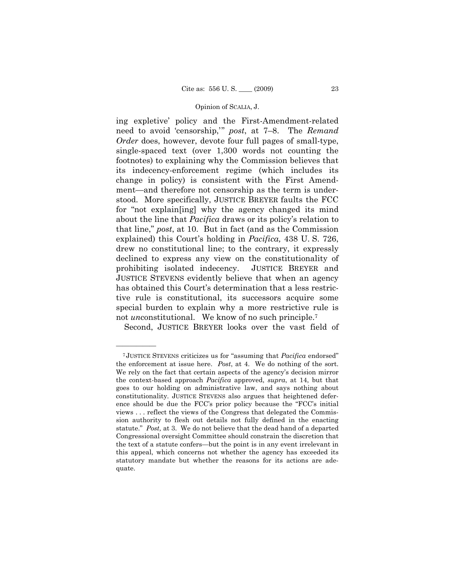ing expletive' policy and the First-Amendment-related need to avoid 'censorship,'" *post*, at 7–8. The *Remand Order* does, however, devote four full pages of small-type, single-spaced text (over 1,300 words not counting the footnotes) to explaining why the Commission believes that its indecency-enforcement regime (which includes its change in policy) is consistent with the First Amendment—and therefore not censorship as the term is understood. More specifically, JUSTICE BREYER faults the FCC for "not explain[ing] why the agency changed its mind about the line that *Pacifica* draws or its policy's relation to that line," *post*, at 10. But in fact (and as the Commission explained) this Court's holding in *Pacifica,* 438 U. S. 726, drew no constitutional line; to the contrary, it expressly declined to express any view on the constitutionality of prohibiting isolated indecency. JUSTICE BREYER and JUSTICE STEVENS evidently believe that when an agency has obtained this Court's determination that a less restrictive rule is constitutional, its successors acquire some special burden to explain why a more restrictive rule is not *un*constitutional. We know of no such principle.7

Second, JUSTICE BREYER looks over the vast field of

<sup>7</sup> JUSTICE STEVENS criticizes us for "assuming that *Pacifica* endorsed" the enforcement at issue here. *Post*, at 4. We do nothing of the sort. We rely on the fact that certain aspects of the agency's decision mirror the context-based approach *Pacifica* approved, *supra*, at 14, but that goes to our holding on administrative law, and says nothing about constitutionality*.* JUSTICE STEVENS also argues that heightened deference should be due the FCC's prior policy because the "FCC's initial views . . . reflect the views of the Congress that delegated the Commission authority to flesh out details not fully defined in the enacting statute." *Post,* at 3. We do not believe that the dead hand of a departed Congressional oversight Committee should constrain the discretion that the text of a statute confers—but the point is in any event irrelevant in this appeal, which concerns not whether the agency has exceeded its statutory mandate but whether the reasons for its actions are adequate.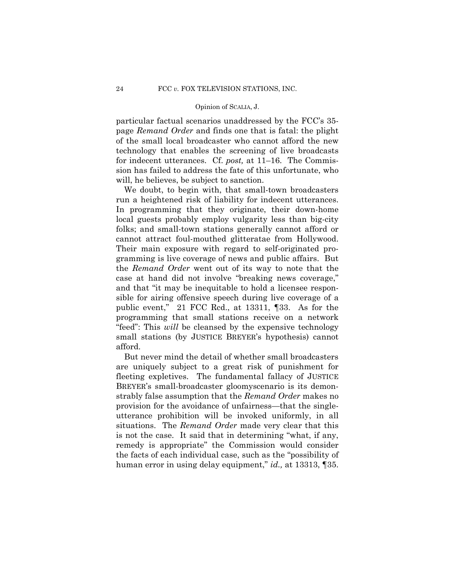particular factual scenarios unaddressed by the FCC's 35page *Remand Order* and finds one that is fatal: the plight of the small local broadcaster who cannot afford the new technology that enables the screening of live broadcasts for indecent utterances. Cf. *post,* at 11–16. The Commission has failed to address the fate of this unfortunate, who will, he believes, be subject to sanction.

We doubt, to begin with, that small-town broadcasters run a heightened risk of liability for indecent utterances. In programming that they originate, their down-home local guests probably employ vulgarity less than big-city folks; and small-town stations generally cannot afford or cannot attract foul-mouthed glitteratae from Hollywood. Their main exposure with regard to self-originated programming is live coverage of news and public affairs. But the *Remand Order* went out of its way to note that the case at hand did not involve "breaking news coverage," and that "it may be inequitable to hold a licensee responsible for airing offensive speech during live coverage of a public event," 21 FCC Rcd., at 13311, ¶33. As for the programming that small stations receive on a network "feed": This *will* be cleansed by the expensive technology small stations (by JUSTICE BREYER's hypothesis) cannot afford.

But never mind the detail of whether small broadcasters are uniquely subject to a great risk of punishment for fleeting expletives. The fundamental fallacy of JUSTICE BREYER's small-broadcaster gloomyscenario is its demonstrably false assumption that the *Remand Order* makes no provision for the avoidance of unfairness—that the singleutterance prohibition will be invoked uniformly, in all situations. The *Remand Order* made very clear that this is not the case. It said that in determining "what, if any, remedy is appropriate" the Commission would consider the facts of each individual case, such as the "possibility of human error in using delay equipment," *id.,* at 13313, ¶35.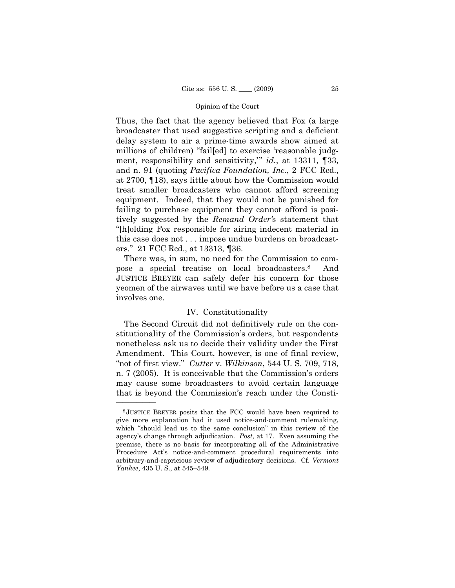Thus, the fact that the agency believed that Fox (a large broadcaster that used suggestive scripting and a deficient delay system to air a prime-time awards show aimed at millions of children) "fail[ed] to exercise 'reasonable judgment, responsibility and sensitivity,'" *id.*, at 13311, ¶33, and n. 91 (quoting *Pacifica Foundation, Inc.*, 2 FCC Rcd., at 2700, ¶18), says little about how the Commission would treat smaller broadcasters who cannot afford screening equipment. Indeed, that they would not be punished for failing to purchase equipment they cannot afford is positively suggested by the *Remand Order'*s statement that "[h]olding Fox responsible for airing indecent material in this case does not . . . impose undue burdens on broadcasters." 21 FCC Rcd., at 13313, ¶36.

There was, in sum, no need for the Commission to compose a special treatise on local broadcasters.8 And JUSTICE BREYER can safely defer his concern for those yeomen of the airwaves until we have before us a case that involves one.

# IV. Constitutionality

The Second Circuit did not definitively rule on the constitutionality of the Commission's orders, but respondents nonetheless ask us to decide their validity under the First Amendment. This Court, however, is one of final review, "not of first view." *Cutter* v. *Wilkinson*, 544 U. S. 709, 718, n. 7 (2005). It is conceivable that the Commission's orders may cause some broadcasters to avoid certain language that is beyond the Commission's reach under the Consti

<sup>8</sup> JUSTICE BREYER posits that the FCC would have been required to give more explanation had it used notice-and-comment rulemaking, which "should lead us to the same conclusion" in this review of the agency's change through adjudication. *Post,* at 17. Even assuming the premise, there is no basis for incorporating all of the Administrative Procedure Act's notice-and-comment procedural requirements into arbitrary-and-capricious review of adjudicatory decisions. Cf. *Vermont Yankee*, 435 U. S., at 545–549.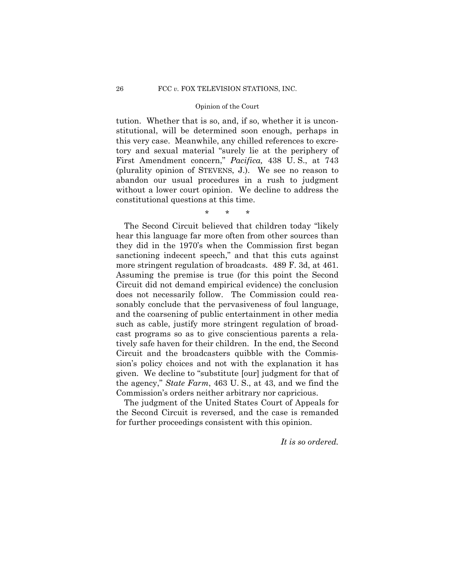tution. Whether that is so, and, if so, whether it is unconstitutional, will be determined soon enough, perhaps in this very case. Meanwhile, any chilled references to excretory and sexual material "surely lie at the periphery of First Amendment concern," *Pacifica,* 438 U. S., at 743 (plurality opinion of STEVENS, J.). We see no reason to abandon our usual procedures in a rush to judgment without a lower court opinion. We decline to address the constitutional questions at this time.

\* \* \*

The Second Circuit believed that children today "likely hear this language far more often from other sources than they did in the 1970's when the Commission first began sanctioning indecent speech," and that this cuts against more stringent regulation of broadcasts. 489 F. 3d, at 461. Assuming the premise is true (for this point the Second Circuit did not demand empirical evidence) the conclusion does not necessarily follow. The Commission could reasonably conclude that the pervasiveness of foul language, and the coarsening of public entertainment in other media such as cable, justify more stringent regulation of broadcast programs so as to give conscientious parents a relatively safe haven for their children. In the end, the Second Circuit and the broadcasters quibble with the Commission's policy choices and not with the explanation it has given. We decline to "substitute [our] judgment for that of the agency," *State Farm*, 463 U. S., at 43, and we find the Commission's orders neither arbitrary nor capricious.

The judgment of the United States Court of Appeals for the Second Circuit is reversed, and the case is remanded for further proceedings consistent with this opinion.

*It is so ordered.*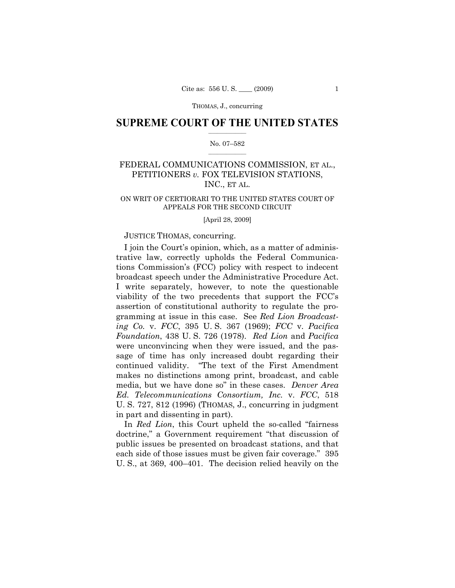# $\frac{1}{2}$  ,  $\frac{1}{2}$  ,  $\frac{1}{2}$  ,  $\frac{1}{2}$  ,  $\frac{1}{2}$  ,  $\frac{1}{2}$  ,  $\frac{1}{2}$ **SUPREME COURT OF THE UNITED STATES**

# $\frac{1}{2}$  ,  $\frac{1}{2}$  ,  $\frac{1}{2}$  ,  $\frac{1}{2}$  ,  $\frac{1}{2}$  ,  $\frac{1}{2}$ No. 07–582

# FEDERAL COMMUNICATIONS COMMISSION, ET AL., PETITIONERS *v.* FOX TELEVISION STATIONS, INC., ET AL.

## ON WRIT OF CERTIORARI TO THE UNITED STATES COURT OF APPEALS FOR THE SECOND CIRCUIT

### [April 28, 2009]

#### JUSTICE THOMAS, concurring.

I join the Court's opinion, which, as a matter of administrative law, correctly upholds the Federal Communications Commission's (FCC) policy with respect to indecent broadcast speech under the Administrative Procedure Act. I write separately, however, to note the questionable viability of the two precedents that support the FCC's assertion of constitutional authority to regulate the programming at issue in this case. See *Red Lion Broadcasting Co.* v. *FCC*, 395 U. S. 367 (1969); *FCC* v. *Pacifica Foundation*, 438 U. S. 726 (1978). *Red Lion* and *Pacifica*  were unconvincing when they were issued, and the passage of time has only increased doubt regarding their continued validity. "The text of the First Amendment makes no distinctions among print, broadcast, and cable media, but we have done so" in these cases. *Denver Area Ed. Telecommunications Consortium, Inc.* v. *FCC*, 518 U. S. 727, 812 (1996) (THOMAS, J., concurring in judgment in part and dissenting in part).

In *Red Lion*, this Court upheld the so-called "fairness doctrine," a Government requirement "that discussion of public issues be presented on broadcast stations, and that each side of those issues must be given fair coverage." 395 U. S., at 369, 400–401. The decision relied heavily on the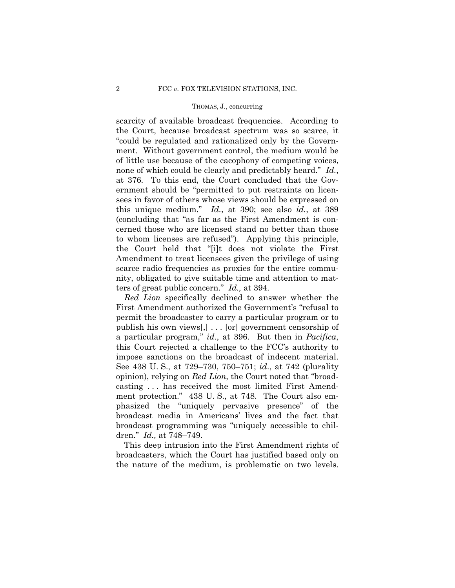scarcity of available broadcast frequencies. According to the Court, because broadcast spectrum was so scarce, it "could be regulated and rationalized only by the Government. Without government control, the medium would be of little use because of the cacophony of competing voices, none of which could be clearly and predictably heard." *Id.*, at 376*.* To this end, the Court concluded that the Government should be "permitted to put restraints on licensees in favor of others whose views should be expressed on this unique medium." *Id.*, at 390; see also *id.*, at 389 (concluding that "as far as the First Amendment is concerned those who are licensed stand no better than those to whom licenses are refused"). Applying this principle, the Court held that "[i]t does not violate the First Amendment to treat licensees given the privilege of using scarce radio frequencies as proxies for the entire community, obligated to give suitable time and attention to matters of great public concern." *Id.,* at 394.

*Red Lion* specifically declined to answer whether the First Amendment authorized the Government's "refusal to permit the broadcaster to carry a particular program or to publish his own views[,] . . . [or] government censorship of a particular program," *id.*, at 396. But then in *Pacifica*, this Court rejected a challenge to the FCC's authority to impose sanctions on the broadcast of indecent material. See 438 U. S., at 729–730, 750–751; *id*., at 742 (plurality opinion), relying on *Red Lion*, the Court noted that "broadcasting . . . has received the most limited First Amendment protection." 438 U. S., at 748. The Court also emphasized the "uniquely pervasive presence" of the broadcast media in Americans' lives and the fact that broadcast programming was "uniquely accessible to children." *Id.,* at 748–749.

This deep intrusion into the First Amendment rights of broadcasters, which the Court has justified based only on the nature of the medium, is problematic on two levels.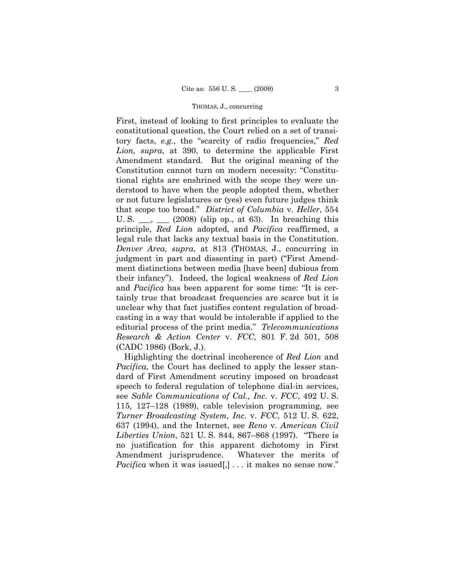First, instead of looking to first principles to evaluate the constitutional question, the Court relied on a set of transitory facts, *e.g.*, the "scarcity of radio frequencies," *Red Lion, supra*, at 390, to determine the applicable First Amendment standard. But the original meaning of the Constitution cannot turn on modern necessity: "Constitutional rights are enshrined with the scope they were understood to have when the people adopted them, whether or not future legislatures or (yes) even future judges think that scope too broad." *District of Columbia* v. *Heller*, 554 U. S.  $\_\_\_\_\_\_\_\_\_\$  (2008) (slip op., at 63). In breaching this principle, *Red Lion* adopted, and *Pacifica* reaffirmed, a legal rule that lacks any textual basis in the Constitution. *Denver Area, supra*, at 813 (THOMAS, J., concurring in judgment in part and dissenting in part) ("First Amendment distinctions between media [have been] dubious from their infancy"). Indeed, the logical weakness of *Red Lion*  and *Pacifica* has been apparent for some time: "It is certainly true that broadcast frequencies are scarce but it is unclear why that fact justifies content regulation of broadcasting in a way that would be intolerable if applied to the editorial process of the print media." *Telecommunications Research & Action Center* v. *FCC,* 801 F. 2d 501, 508 (CADC 1986) (Bork, J.).

Highlighting the doctrinal incoherence of *Red Lion* and *Pacifica*, the Court has declined to apply the lesser standard of First Amendment scrutiny imposed on broadcast speech to federal regulation of telephone dial-in services, see *Sable Communications of Cal., Inc.* v. *FCC*, 492 U. S. 115, 127–128 (1989), cable television programming, see *Turner Broadcasting System, Inc.* v. *FCC*, 512 U. S. 622, 637 (1994), and the Internet, see *Reno* v. *American Civil Liberties Union*, 521 U. S. 844, 867–868 (1997). "There is no justification for this apparent dichotomy in First Amendment jurisprudence. Whatever the merits of *Pacifica* when it was issued[,] . . . it makes no sense now."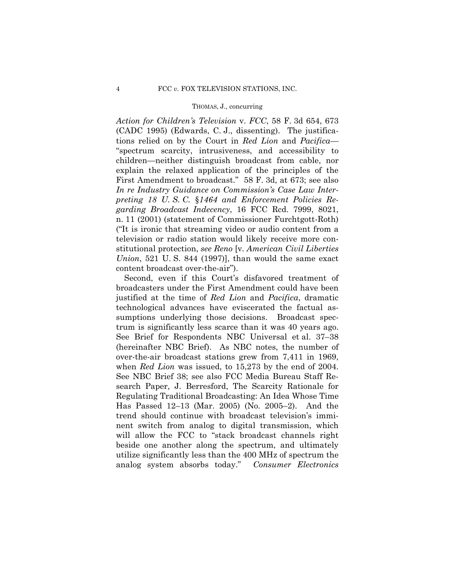*Action for Children's Television* v. *FCC*, 58 F. 3d 654, 673 (CADC 1995) (Edwards, C. J., dissenting). The justifications relied on by the Court in *Red Lion* and *Pacifica*— "spectrum scarcity, intrusiveness, and accessibility to children—neither distinguish broadcast from cable, nor explain the relaxed application of the principles of the First Amendment to broadcast." 58 F. 3d, at 673; see also *In re Industry Guidance on Commission's Case Law Interpreting 18 U. S. C.* §*1464 and Enforcement Policies Regarding Broadcast Indecency*, 16 FCC Rcd. 7999, 8021, n. 11 (2001) (statement of Commissioner Furchtgott-Roth) ("It is ironic that streaming video or audio content from a television or radio station would likely receive more constitutional protection, *see Reno* [v. *American Civil Liberties Union*, 521 U. S. 844 (1997)], than would the same exact content broadcast over-the-air").

Second, even if this Court's disfavored treatment of broadcasters under the First Amendment could have been justified at the time of *Red Lion* and *Pacifica*, dramatic technological advances have eviscerated the factual assumptions underlying those decisions. Broadcast spectrum is significantly less scarce than it was 40 years ago. See Brief for Respondents NBC Universal et al. 37–38 (hereinafter NBC Brief). As NBC notes, the number of over-the-air broadcast stations grew from 7,411 in 1969, when *Red Lion* was issued, to 15,273 by the end of 2004. See NBC Brief 38; see also FCC Media Bureau Staff Research Paper, J. Berresford, The Scarcity Rationale for Regulating Traditional Broadcasting: An Idea Whose Time Has Passed 12–13 (Mar. 2005) (No. 2005–2). And the trend should continue with broadcast television's imminent switch from analog to digital transmission, which will allow the FCC to "stack broadcast channels right beside one another along the spectrum, and ultimately utilize significantly less than the 400 MHz of spectrum the analog system absorbs today." *Consumer Electronics*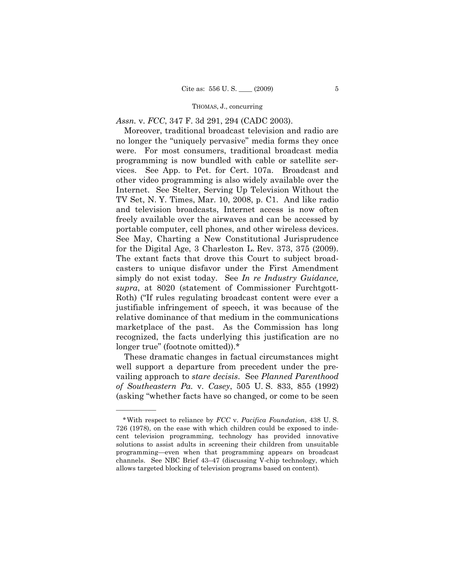*Assn.* v. *FCC*, 347 F. 3d 291, 294 (CADC 2003).

Moreover, traditional broadcast television and radio are no longer the "uniquely pervasive" media forms they once were. For most consumers, traditional broadcast media programming is now bundled with cable or satellite services. See App. to Pet. for Cert. 107a. Broadcast and other video programming is also widely available over the Internet. See Stelter, Serving Up Television Without the TV Set, N. Y. Times, Mar. 10, 2008, p. C1. And like radio and television broadcasts, Internet access is now often freely available over the airwaves and can be accessed by portable computer, cell phones, and other wireless devices. See May, Charting a New Constitutional Jurisprudence for the Digital Age, 3 Charleston L. Rev. 373, 375 (2009). The extant facts that drove this Court to subject broadcasters to unique disfavor under the First Amendment simply do not exist today. See *In re Industry Guidance, supra*, at 8020 (statement of Commissioner Furchtgott-Roth) ("If rules regulating broadcast content were ever a justifiable infringement of speech, it was because of the relative dominance of that medium in the communications marketplace of the past. As the Commission has long recognized, the facts underlying this justification are no longer true" (footnote omitted)).\*

These dramatic changes in factual circumstances might well support a departure from precedent under the prevailing approach to *stare decisis*. See *Planned Parenthood of Southeastern Pa.* v. *Casey*, 505 U. S. 833, 855 (1992) (asking "whether facts have so changed, or come to be seen

<sup>\*</sup>With respect to reliance by *FCC* v. *Pacifica Foundation*, 438 U. S. 726 (1978), on the ease with which children could be exposed to indecent television programming, technology has provided innovative solutions to assist adults in screening their children from unsuitable programming—even when that programming appears on broadcast channels. See NBC Brief 43–47 (discussing V-chip technology, which allows targeted blocking of television programs based on content).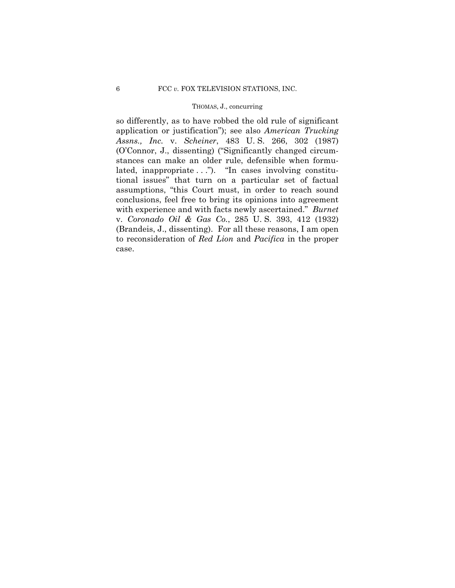so differently, as to have robbed the old rule of significant application or justification"); see also *American Trucking Assns., Inc.* v. *Scheiner*, 483 U. S. 266, 302 (1987) (O'Connor, J., dissenting) ("Significantly changed circumstances can make an older rule, defensible when formulated, inappropriate  $\ldots$ "). "In cases involving constitutional issues" that turn on a particular set of factual assumptions, "this Court must, in order to reach sound conclusions, feel free to bring its opinions into agreement with experience and with facts newly ascertained." *Burnet*  v. *Coronado Oil & Gas Co.*, 285 U. S. 393, 412 (1932) (Brandeis, J., dissenting). For all these reasons, I am open to reconsideration of *Red Lion* and *Pacifica* in the proper case.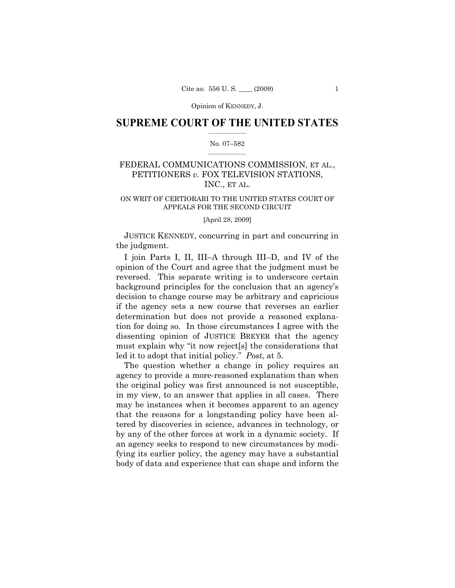Opinion of KENNEDY, J.

# $\frac{1}{2}$  ,  $\frac{1}{2}$  ,  $\frac{1}{2}$  ,  $\frac{1}{2}$  ,  $\frac{1}{2}$  ,  $\frac{1}{2}$  ,  $\frac{1}{2}$ **SUPREME COURT OF THE UNITED STATES**

# $\frac{1}{2}$  ,  $\frac{1}{2}$  ,  $\frac{1}{2}$  ,  $\frac{1}{2}$  ,  $\frac{1}{2}$  ,  $\frac{1}{2}$ No. 07–582

# FEDERAL COMMUNICATIONS COMMISSION, ET AL., PETITIONERS *v.* FOX TELEVISION STATIONS, INC., ET AL.

## ON WRIT OF CERTIORARI TO THE UNITED STATES COURT OF APPEALS FOR THE SECOND CIRCUIT

## [April 28, 2009]

JUSTICE KENNEDY, concurring in part and concurring in the judgment.

I join Parts I, II, III–A through III–D, and IV of the opinion of the Court and agree that the judgment must be reversed. This separate writing is to underscore certain background principles for the conclusion that an agency's decision to change course may be arbitrary and capricious if the agency sets a new course that reverses an earlier determination but does not provide a reasoned explanation for doing so. In those circumstances I agree with the dissenting opinion of JUSTICE BREYER that the agency must explain why "it now reject[s] the considerations that led it to adopt that initial policy." *Post*, at 5.

The question whether a change in policy requires an agency to provide a more-reasoned explanation than when the original policy was first announced is not susceptible, in my view, to an answer that applies in all cases. There may be instances when it becomes apparent to an agency that the reasons for a longstanding policy have been altered by discoveries in science, advances in technology, or by any of the other forces at work in a dynamic society. If an agency seeks to respond to new circumstances by modifying its earlier policy, the agency may have a substantial body of data and experience that can shape and inform the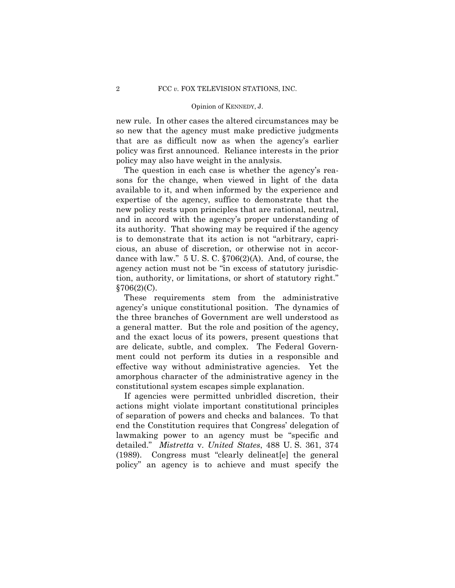new rule. In other cases the altered circumstances may be so new that the agency must make predictive judgments that are as difficult now as when the agency's earlier policy was first announced. Reliance interests in the prior policy may also have weight in the analysis.

The question in each case is whether the agency's reasons for the change, when viewed in light of the data available to it, and when informed by the experience and expertise of the agency, suffice to demonstrate that the new policy rests upon principles that are rational, neutral, and in accord with the agency's proper understanding of its authority. That showing may be required if the agency is to demonstrate that its action is not "arbitrary, capricious, an abuse of discretion, or otherwise not in accordance with law." 5 U. S. C. §706(2)(A). And, of course, the agency action must not be "in excess of statutory jurisdiction, authority, or limitations, or short of statutory right."  $§706(2)(C)$ .

These requirements stem from the administrative agency's unique constitutional position. The dynamics of the three branches of Government are well understood as a general matter. But the role and position of the agency, and the exact locus of its powers, present questions that are delicate, subtle, and complex. The Federal Government could not perform its duties in a responsible and effective way without administrative agencies. Yet the amorphous character of the administrative agency in the constitutional system escapes simple explanation.

If agencies were permitted unbridled discretion, their actions might violate important constitutional principles of separation of powers and checks and balances. To that end the Constitution requires that Congress' delegation of lawmaking power to an agency must be "specific and detailed." *Mistretta* v. *United States*, 488 U. S. 361, 374 (1989). Congress must "clearly delineat[e] the general policy" an agency is to achieve and must specify the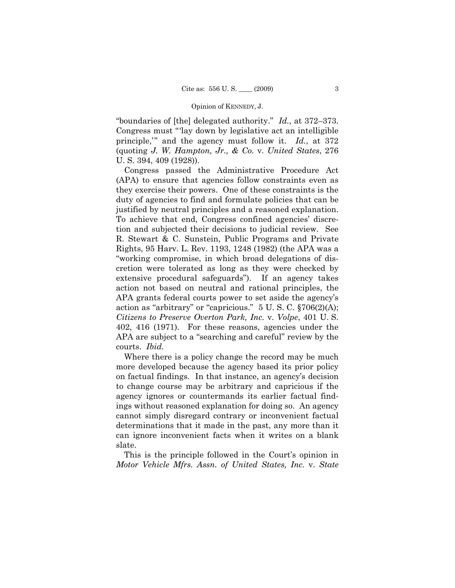"boundaries of [the] delegated authority." *Id.*, at 372–373. Congress must "'lay down by legislative act an intelligible principle,'" and the agency must follow it. *Id.*, at 372 (quoting *J. W. Hampton, Jr., & Co.* v. *United States*, 276 U. S. 394, 409 (1928)).

Congress passed the Administrative Procedure Act (APA) to ensure that agencies follow constraints even as they exercise their powers. One of these constraints is the duty of agencies to find and formulate policies that can be justified by neutral principles and a reasoned explanation. To achieve that end, Congress confined agencies' discretion and subjected their decisions to judicial review. See R. Stewart & C. Sunstein, Public Programs and Private Rights, 95 Harv. L. Rev. 1193, 1248 (1982) (the APA was a "working compromise, in which broad delegations of discretion were tolerated as long as they were checked by extensive procedural safeguards"). If an agency takes action not based on neutral and rational principles, the APA grants federal courts power to set aside the agency's action as "arbitrary" or "capricious." 5 U. S. C. §706(2)(A); *Citizens to Preserve Overton Park, Inc.* v. *Volpe*, 401 U. S. 402, 416 (1971). For these reasons, agencies under the APA are subject to a "searching and careful" review by the courts. *Ibid.* 

Where there is a policy change the record may be much more developed because the agency based its prior policy on factual findings. In that instance, an agency's decision to change course may be arbitrary and capricious if the agency ignores or countermands its earlier factual findings without reasoned explanation for doing so. An agency cannot simply disregard contrary or inconvenient factual determinations that it made in the past, any more than it can ignore inconvenient facts when it writes on a blank slate.

This is the principle followed in the Court's opinion in *Motor Vehicle Mfrs. Assn. of United States, Inc.* v. *State*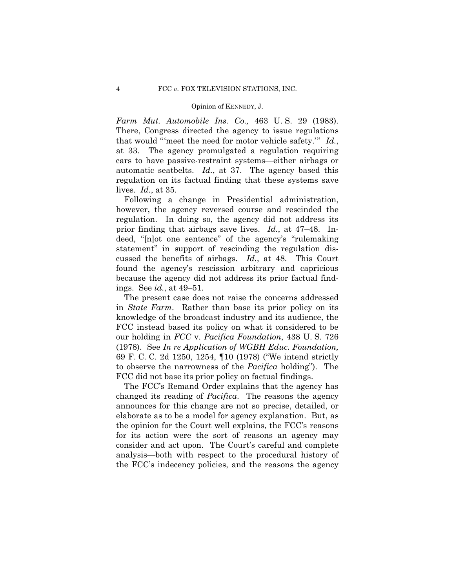*Farm Mut. Automobile Ins. Co.,* 463 U. S. 29 (1983). There, Congress directed the agency to issue regulations that would "'meet the need for motor vehicle safety.'" *Id.*, at 33. The agency promulgated a regulation requiring cars to have passive-restraint systems—either airbags or automatic seatbelts. *Id.*, at 37. The agency based this regulation on its factual finding that these systems save lives. *Id.*, at 35.

Following a change in Presidential administration, however, the agency reversed course and rescinded the regulation. In doing so, the agency did not address its prior finding that airbags save lives. *Id.*, at 47–48. Indeed, "[n]ot one sentence" of the agency's "rulemaking statement" in support of rescinding the regulation discussed the benefits of airbags. *Id.*, at 48. This Court found the agency's rescission arbitrary and capricious because the agency did not address its prior factual findings. See *id.*, at 49–51.

The present case does not raise the concerns addressed in *State Farm*. Rather than base its prior policy on its knowledge of the broadcast industry and its audience, the FCC instead based its policy on what it considered to be our holding in *FCC* v. *Pacifica Foundation*, 438 U. S. 726 (1978). See *In re Application of WGBH Educ. Foundation,*  69 F. C. C. 2d 1250, 1254, ¶10 (1978) ("We intend strictly to observe the narrowness of the *Pacifica* holding"). The FCC did not base its prior policy on factual findings.

The FCC's Remand Order explains that the agency has changed its reading of *Pacifica*. The reasons the agency announces for this change are not so precise, detailed, or elaborate as to be a model for agency explanation. But, as the opinion for the Court well explains, the FCC's reasons for its action were the sort of reasons an agency may consider and act upon. The Court's careful and complete analysis—both with respect to the procedural history of the FCC's indecency policies, and the reasons the agency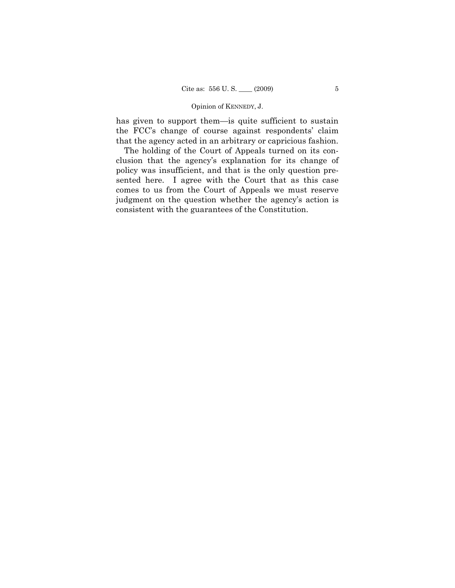has given to support them—is quite sufficient to sustain the FCC's change of course against respondents' claim that the agency acted in an arbitrary or capricious fashion.

The holding of the Court of Appeals turned on its conclusion that the agency's explanation for its change of policy was insufficient, and that is the only question presented here. I agree with the Court that as this case comes to us from the Court of Appeals we must reserve judgment on the question whether the agency's action is consistent with the guarantees of the Constitution.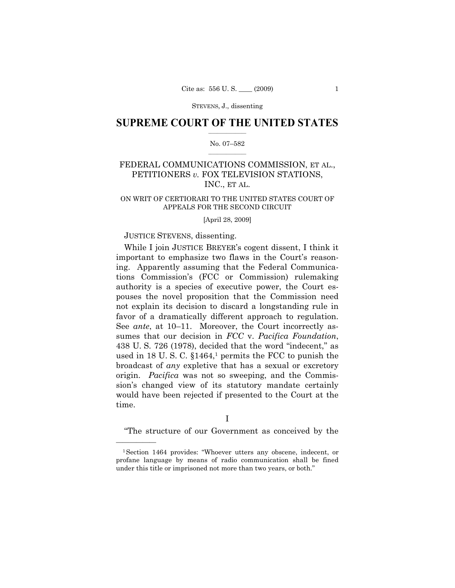# $\frac{1}{2}$  ,  $\frac{1}{2}$  ,  $\frac{1}{2}$  ,  $\frac{1}{2}$  ,  $\frac{1}{2}$  ,  $\frac{1}{2}$  ,  $\frac{1}{2}$ **SUPREME COURT OF THE UNITED STATES**

# $\frac{1}{2}$  ,  $\frac{1}{2}$  ,  $\frac{1}{2}$  ,  $\frac{1}{2}$  ,  $\frac{1}{2}$  ,  $\frac{1}{2}$ No. 07–582

# FEDERAL COMMUNICATIONS COMMISSION, ET AL., PETITIONERS *v.* FOX TELEVISION STATIONS, INC., ET AL.

# ON WRIT OF CERTIORARI TO THE UNITED STATES COURT OF APPEALS FOR THE SECOND CIRCUIT

#### [April 28, 2009]

# JUSTICE STEVENS, dissenting.

——————

While I join JUSTICE BREYER's cogent dissent, I think it important to emphasize two flaws in the Court's reasoning. Apparently assuming that the Federal Communications Commission's (FCC or Commission) rulemaking authority is a species of executive power, the Court espouses the novel proposition that the Commission need not explain its decision to discard a longstanding rule in favor of a dramatically different approach to regulation. See *ante*, at 10–11. Moreover, the Court incorrectly assumes that our decision in *FCC* v. *Pacifica Foundation*, 438 U. S. 726 (1978), decided that the word "indecent," as used in 18 U.S.C.  $$1464<sup>1</sup>$  permits the FCC to punish the broadcast of *any* expletive that has a sexual or excretory origin. *Pacifica* was not so sweeping, and the Commission's changed view of its statutory mandate certainly would have been rejected if presented to the Court at the time.

I

"The structure of our Government as conceived by the

<sup>1</sup>Section 1464 provides: "Whoever utters any obscene, indecent, or profane language by means of radio communication shall be fined under this title or imprisoned not more than two years, or both."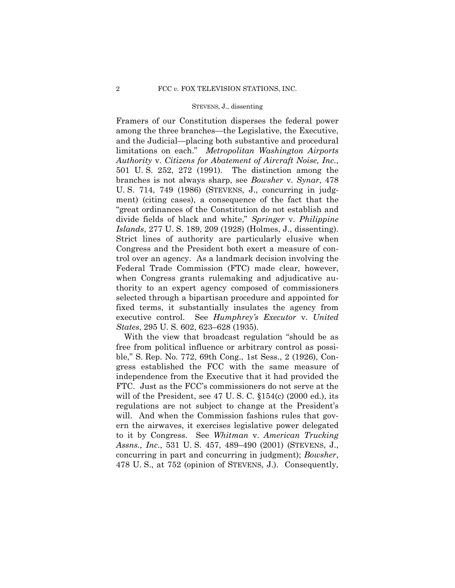Framers of our Constitution disperses the federal power among the three branches—the Legislative, the Executive, and the Judicial—placing both substantive and procedural limitations on each." *Metropolitan Washington Airports Authority* v. *Citizens for Abatement of Aircraft Noise, Inc.*, 501 U. S. 252, 272 (1991). The distinction among the branches is not always sharp, see *Bowsher* v. *Synar*, 478 U. S. 714, 749 (1986) (STEVENS, J., concurring in judgment) (citing cases), a consequence of the fact that the "great ordinances of the Constitution do not establish and divide fields of black and white," *Springer* v. *Philippine Islands*, 277 U. S. 189, 209 (1928) (Holmes, J., dissenting). Strict lines of authority are particularly elusive when Congress and the President both exert a measure of control over an agency. As a landmark decision involving the Federal Trade Commission (FTC) made clear, however, when Congress grants rulemaking and adjudicative authority to an expert agency composed of commissioners selected through a bipartisan procedure and appointed for fixed terms, it substantially insulates the agency from executive control. See *Humphrey's Executor* v. *United States*, 295 U. S. 602, 623–628 (1935).

With the view that broadcast regulation "should be as free from political influence or arbitrary control as possible," S. Rep. No. 772, 69th Cong., 1st Sess., 2 (1926), Congress established the FCC with the same measure of independence from the Executive that it had provided the FTC. Just as the FCC's commissioners do not serve at the will of the President, see 47 U.S.C.  $$154(c)$  (2000 ed.), its regulations are not subject to change at the President's will. And when the Commission fashions rules that govern the airwaves, it exercises legislative power delegated to it by Congress. See *Whitman* v. *American Trucking Assns., Inc*., 531 U. S. 457, 489–490 (2001) (STEVENS, J., concurring in part and concurring in judgment); *Bowsher*, 478 U. S., at 752 (opinion of STEVENS, J.). Consequently,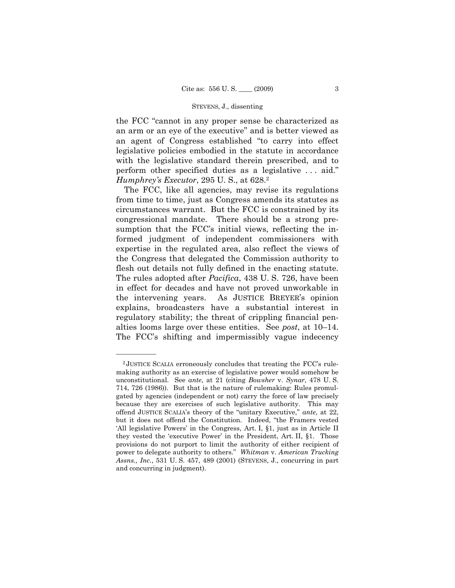the FCC "cannot in any proper sense be characterized as an arm or an eye of the executive" and is better viewed as an agent of Congress established "to carry into effect legislative policies embodied in the statute in accordance with the legislative standard therein prescribed, and to perform other specified duties as a legislative . . . aid." *Humphrey's Executor*, 295 U. S., at 628.2

The FCC, like all agencies, may revise its regulations from time to time, just as Congress amends its statutes as circumstances warrant. But the FCC is constrained by its congressional mandate. There should be a strong presumption that the FCC's initial views, reflecting the informed judgment of independent commissioners with expertise in the regulated area, also reflect the views of the Congress that delegated the Commission authority to flesh out details not fully defined in the enacting statute. The rules adopted after *Pacifica*, 438 U. S. 726, have been in effect for decades and have not proved unworkable in the intervening years. As JUSTICE BREYER's opinion explains, broadcasters have a substantial interest in regulatory stability; the threat of crippling financial penalties looms large over these entities. See *post*, at 10–14. The FCC's shifting and impermissibly vague indecency

——————

<sup>2</sup> JUSTICE SCALIA erroneously concludes that treating the FCC's rulemaking authority as an exercise of legislative power would somehow be unconstitutional. See *ante*, at 21 (citing *Bowsher* v. *Synar*, 478 U. S. 714, 726 (1986)). But that is the nature of rulemaking: Rules promulgated by agencies (independent or not) carry the force of law precisely because they are exercises of such legislative authority. This may offend JUSTICE SCALIA's theory of the "unitary Executive," *ante*, at 22, but it does not offend the Constitution. Indeed, "the Framers vested 'All legislative Powers' in the Congress, Art. I, §1, just as in Article II they vested the 'executive Power' in the President, Art. II, §1. Those provisions do not purport to limit the authority of either recipient of power to delegate authority to others." *Whitman* v. *American Trucking Assns., Inc.*, 531 U. S. 457, 489 (2001) (STEVENS, J., concurring in part and concurring in judgment).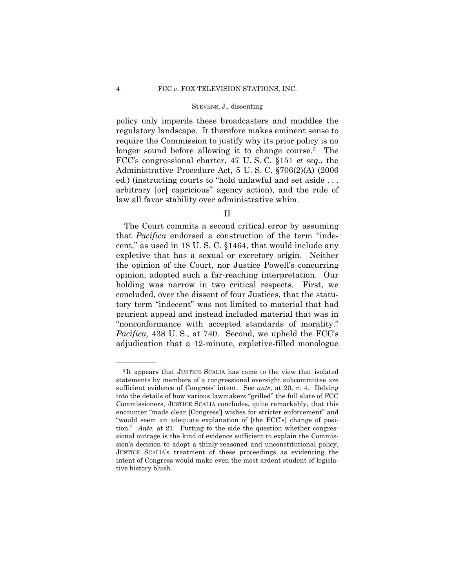policy only imperils these broadcasters and muddles the regulatory landscape. It therefore makes eminent sense to require the Commission to justify why its prior policy is no longer sound before allowing it to change course.3 The FCC's congressional charter, 47 U. S. C. §151 *et seq.*, the Administrative Procedure Act, 5 U. S. C. §706(2)(A) (2006 ed.) (instructing courts to "hold unlawful and set aside . . . arbitrary [or] capricious" agency action), and the rule of law all favor stability over administrative whim.

# II

The Court commits a second critical error by assuming that *Pacifica* endorsed a construction of the term "indecent," as used in 18 U. S. C. §1464, that would include any expletive that has a sexual or excretory origin. Neither the opinion of the Court, nor Justice Powell's concurring opinion, adopted such a far-reaching interpretation. Our holding was narrow in two critical respects. First, we concluded, over the dissent of four Justices, that the statutory term "indecent" was not limited to material that had prurient appeal and instead included material that was in "nonconformance with accepted standards of morality." *Pacifica,* 438 U. S., at 740. Second, we upheld the FCC's adjudication that a 12-minute, expletive-filled monologue

——————

<sup>3</sup> It appears that JUSTICE SCALIA has come to the view that isolated statements by members of a congressional oversight subcommittee are sufficient evidence of Congress' intent. See *ante*, at 20, n. 4. Delving into the details of how various lawmakers "grilled" the full slate of FCC Commissioners, JUSTICE SCALIA concludes, quite remarkably, that this encounter "made clear [Congress'] wishes for stricter enforcement" and "would seem an adequate explanation of [the FCC's] change of position." *Ante*, at 21. Putting to the side the question whether congressional outrage is the kind of evidence sufficient to explain the Commission's decision to adopt a thinly-reasoned and unconstitutional policy, JUSTICE SCALIA's treatment of these proceedings as evidencing the intent of Congress would make even the most ardent student of legislative history blush.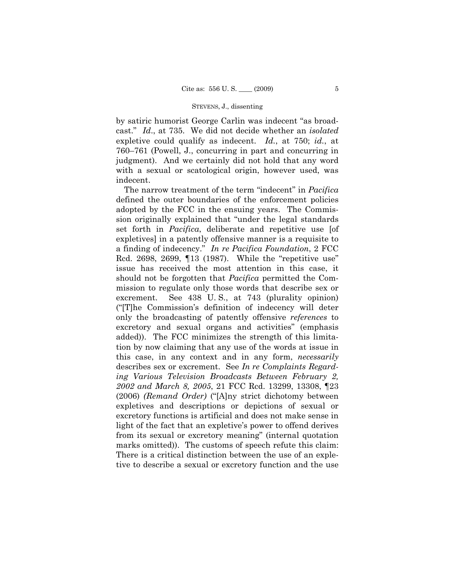by satiric humorist George Carlin was indecent "as broadcast." *Id*., at 735. We did not decide whether an *isolated*  expletive could qualify as indecent. *Id.*, at 750; *id.*, at 760–761 (Powell, J., concurring in part and concurring in judgment). And we certainly did not hold that any word with a sexual or scatological origin, however used, was indecent.

The narrow treatment of the term "indecent" in *Pacifica*  defined the outer boundaries of the enforcement policies adopted by the FCC in the ensuing years. The Commission originally explained that "under the legal standards set forth in *Pacifica*, deliberate and repetitive use [of expletives] in a patently offensive manner is a requisite to a finding of indecency." *In re Pacifica Foundation*, 2 FCC Rcd. 2698, 2699, ¶13 (1987). While the "repetitive use" issue has received the most attention in this case, it should not be forgotten that *Pacifica* permitted the Commission to regulate only those words that describe sex or excrement. See 438 U. S., at 743 (plurality opinion) ("[T]he Commission's definition of indecency will deter only the broadcasting of patently offensive *references* to excretory and sexual organs and activities" (emphasis added)). The FCC minimizes the strength of this limitation by now claiming that any use of the words at issue in this case, in any context and in any form, *necessarily*  describes sex or excrement. See *In re Complaints Regarding Various Television Broadcasts Between February 2, 2002 and March 8, 2005*, 21 FCC Rcd. 13299, 13308, ¶23 (2006) *(Remand Order)* ("[A]ny strict dichotomy between expletives and descriptions or depictions of sexual or excretory functions is artificial and does not make sense in light of the fact that an expletive's power to offend derives from its sexual or excretory meaning" (internal quotation marks omitted)). The customs of speech refute this claim: There is a critical distinction between the use of an expletive to describe a sexual or excretory function and the use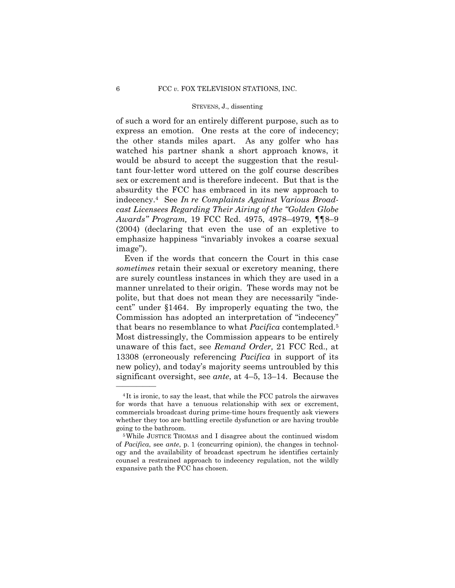of such a word for an entirely different purpose, such as to express an emotion. One rests at the core of indecency; the other stands miles apart. As any golfer who has watched his partner shank a short approach knows, it would be absurd to accept the suggestion that the resultant four-letter word uttered on the golf course describes sex or excrement and is therefore indecent. But that is the absurdity the FCC has embraced in its new approach to indecency.4 See *In re Complaints Against Various Broadcast Licensees Regarding Their Airing of the "Golden Globe Awards" Program,* 19 FCC Rcd. 4975, 4978–4979, ¶¶8–9 (2004) (declaring that even the use of an expletive to emphasize happiness "invariably invokes a coarse sexual image").

Even if the words that concern the Court in this case *sometimes* retain their sexual or excretory meaning, there are surely countless instances in which they are used in a manner unrelated to their origin. These words may not be polite, but that does not mean they are necessarily "indecent" under §1464. By improperly equating the two, the Commission has adopted an interpretation of "indecency" that bears no resemblance to what *Pacifica* contemplated.5 Most distressingly, the Commission appears to be entirely unaware of this fact, see *Remand Order,* 21 FCC Rcd., at 13308 (erroneously referencing *Pacifica* in support of its new policy), and today's majority seems untroubled by this significant oversight, see *ante*, at 4–5, 13–14. Because the

——————

<sup>4</sup> It is ironic, to say the least, that while the FCC patrols the airwaves for words that have a tenuous relationship with sex or excrement, commercials broadcast during prime-time hours frequently ask viewers whether they too are battling erectile dysfunction or are having trouble going to the bathroom.<br><sup>5</sup>While JUSTICE THOMAS and I disagree about the continued wisdom

of *Pacifica*, see *ante*, p. 1 (concurring opinion), the changes in technology and the availability of broadcast spectrum he identifies certainly counsel a restrained approach to indecency regulation, not the wildly expansive path the FCC has chosen.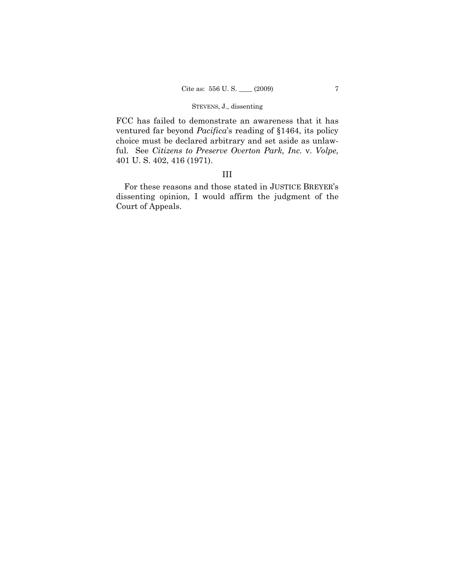FCC has failed to demonstrate an awareness that it has ventured far beyond *Pacifica*'s reading of §1464, its policy choice must be declared arbitrary and set aside as unlawful. See *Citizens to Preserve Overton Park, Inc.* v. *Volpe,* 401 U. S. 402, 416 (1971).

# III

For these reasons and those stated in JUSTICE BREYER's dissenting opinion, I would affirm the judgment of the Court of Appeals.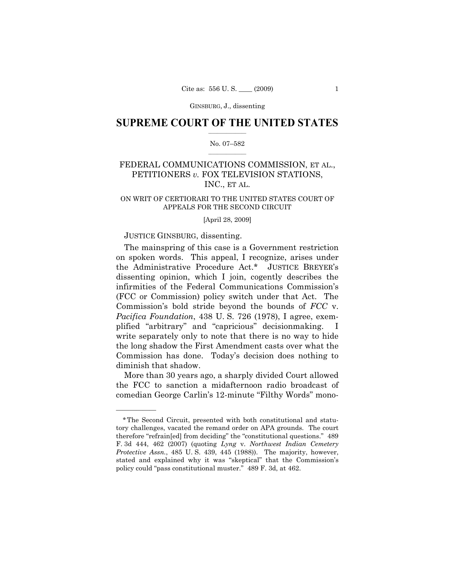GINSBURG, J., dissenting

# $\frac{1}{2}$  ,  $\frac{1}{2}$  ,  $\frac{1}{2}$  ,  $\frac{1}{2}$  ,  $\frac{1}{2}$  ,  $\frac{1}{2}$  ,  $\frac{1}{2}$ **SUPREME COURT OF THE UNITED STATES**

# $\frac{1}{2}$  ,  $\frac{1}{2}$  ,  $\frac{1}{2}$  ,  $\frac{1}{2}$  ,  $\frac{1}{2}$  ,  $\frac{1}{2}$ No. 07–582

# FEDERAL COMMUNICATIONS COMMISSION, ET AL., PETITIONERS *v.* FOX TELEVISION STATIONS, INC., ET AL.

# ON WRIT OF CERTIORARI TO THE UNITED STATES COURT OF APPEALS FOR THE SECOND CIRCUIT

#### [April 28, 2009]

# JUSTICE GINSBURG, dissenting.

——————

The mainspring of this case is a Government restriction on spoken words. This appeal, I recognize, arises under the Administrative Procedure Act.\* JUSTICE BREYER's dissenting opinion, which I join, cogently describes the infirmities of the Federal Communications Commission's (FCC or Commission) policy switch under that Act. The Commission's bold stride beyond the bounds of *FCC* v. *Pacifica Foundation*, 438 U. S. 726 (1978), I agree, exemplified "arbitrary" and "capricious" decisionmaking. I write separately only to note that there is no way to hide the long shadow the First Amendment casts over what the Commission has done. Today's decision does nothing to diminish that shadow.

More than 30 years ago, a sharply divided Court allowed the FCC to sanction a midafternoon radio broadcast of comedian George Carlin's 12-minute "Filthy Words" mono-

<sup>\*</sup>The Second Circuit, presented with both constitutional and statutory challenges, vacated the remand order on APA grounds. The court therefore "refrain[ed] from deciding" the "constitutional questions." 489 F. 3d 444, 462 (2007) (quoting *Lyng* v. *Northwest Indian Cemetery Protective Assn.*, 485 U. S. 439, 445 (1988)). The majority, however, stated and explained why it was "skeptical" that the Commission's policy could "pass constitutional muster." 489 F. 3d, at 462.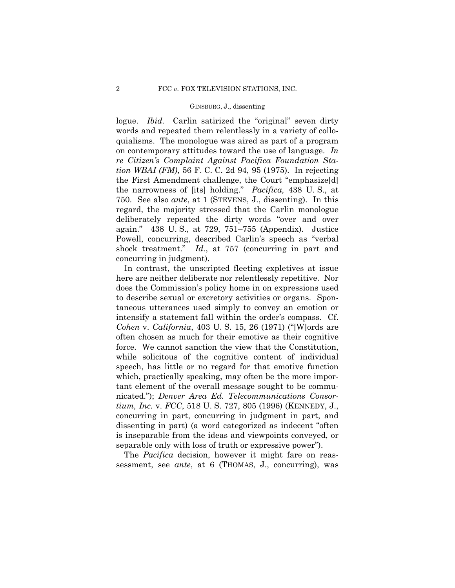# GINSBURG, J., dissenting

logue. *Ibid.* Carlin satirized the "original" seven dirty words and repeated them relentlessly in a variety of colloquialisms. The monologue was aired as part of a program on contemporary attitudes toward the use of language. *In re Citizen's Complaint Against Pacifica Foundation Station WBAI (FM)*, 56 F. C. C. 2d 94, 95 (1975). In rejecting the First Amendment challenge, the Court "emphasize[d] the narrowness of [its] holding." *Pacifica,* 438 U. S., at 750. See also *ante*, at 1 (STEVENS, J., dissenting). In this regard, the majority stressed that the Carlin monologue deliberately repeated the dirty words "over and over again." 438 U. S., at 729, 751–755 (Appendix). Justice Powell, concurring, described Carlin's speech as "verbal shock treatment." *Id.*, at 757 (concurring in part and concurring in judgment).

In contrast, the unscripted fleeting expletives at issue here are neither deliberate nor relentlessly repetitive. Nor does the Commission's policy home in on expressions used to describe sexual or excretory activities or organs. Spontaneous utterances used simply to convey an emotion or intensify a statement fall within the order's compass. Cf. *Cohen* v. *California*, 403 U. S. 15, 26 (1971) ("[W]ords are often chosen as much for their emotive as their cognitive force. We cannot sanction the view that the Constitution, while solicitous of the cognitive content of individual speech, has little or no regard for that emotive function which, practically speaking, may often be the more important element of the overall message sought to be communicated."); *Denver Area Ed. Telecommunications Consortium, Inc.* v. *FCC*, 518 U. S. 727, 805 (1996) (KENNEDY, J., concurring in part, concurring in judgment in part, and dissenting in part) (a word categorized as indecent "often is inseparable from the ideas and viewpoints conveyed, or separable only with loss of truth or expressive power").

The *Pacifica* decision, however it might fare on reassessment, see *ante*, at 6 (THOMAS, J., concurring), was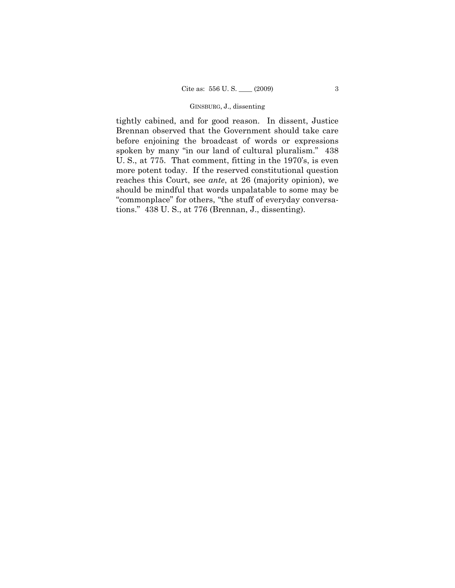# GINSBURG, J., dissenting

tightly cabined, and for good reason. In dissent, Justice Brennan observed that the Government should take care before enjoining the broadcast of words or expressions spoken by many "in our land of cultural pluralism." 438 U. S., at 775. That comment, fitting in the 1970's, is even more potent today. If the reserved constitutional question reaches this Court, see *ante*, at 26 (majority opinion), we should be mindful that words unpalatable to some may be "commonplace" for others, "the stuff of everyday conversations." 438 U. S., at 776 (Brennan, J., dissenting).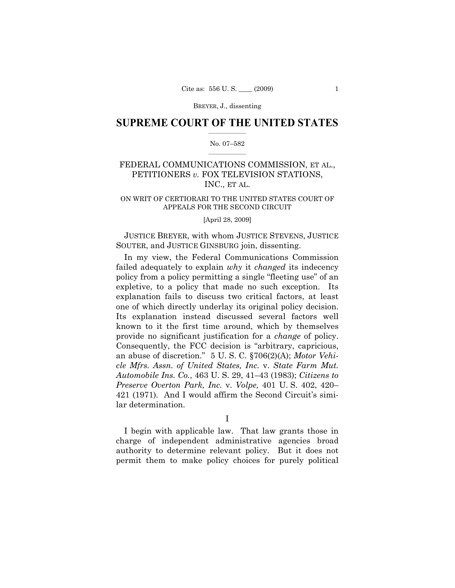# $\frac{1}{2}$  ,  $\frac{1}{2}$  ,  $\frac{1}{2}$  ,  $\frac{1}{2}$  ,  $\frac{1}{2}$  ,  $\frac{1}{2}$  ,  $\frac{1}{2}$ **SUPREME COURT OF THE UNITED STATES**

# $\frac{1}{2}$  ,  $\frac{1}{2}$  ,  $\frac{1}{2}$  ,  $\frac{1}{2}$  ,  $\frac{1}{2}$  ,  $\frac{1}{2}$ No. 07–582

# FEDERAL COMMUNICATIONS COMMISSION, ET AL., PETITIONERS *v.* FOX TELEVISION STATIONS, INC., ET AL.

# ON WRIT OF CERTIORARI TO THE UNITED STATES COURT OF APPEALS FOR THE SECOND CIRCUIT

# [April 28, 2009]

JUSTICE BREYER, with whom JUSTICE STEVENS, JUSTICE SOUTER, and JUSTICE GINSBURG join, dissenting.

In my view, the Federal Communications Commission failed adequately to explain *why* it *changed* its indecency policy from a policy permitting a single "fleeting use" of an expletive, to a policy that made no such exception. Its explanation fails to discuss two critical factors, at least one of which directly underlay its original policy decision. Its explanation instead discussed several factors well known to it the first time around, which by themselves provide no significant justification for a *change* of policy. Consequently, the FCC decision is "arbitrary, capricious, an abuse of discretion." 5 U. S. C. §706(2)(A); *Motor Vehicle Mfrs. Assn. of United States, Inc.* v. *State Farm Mut. Automobile Ins. Co.*, 463 U. S. 29, 41–43 (1983); *Citizens to Preserve Overton Park, Inc.* v. *Volpe,* 401 U. S. 402, 420– 421 (1971)*.* And I would affirm the Second Circuit's similar determination.

I begin with applicable law. That law grants those in charge of independent administrative agencies broad authority to determine relevant policy. But it does not permit them to make policy choices for purely political

I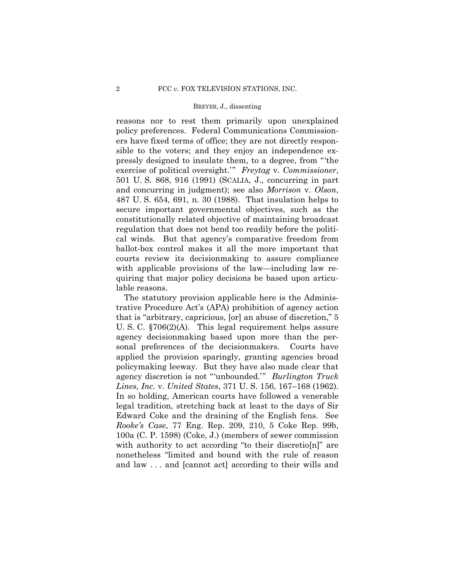reasons nor to rest them primarily upon unexplained policy preferences. Federal Communications Commissioners have fixed terms of office; they are not directly responsible to the voters; and they enjoy an independence expressly designed to insulate them, to a degree, from "'the exercise of political oversight.'" *Freytag* v. *Commissioner*, 501 U. S. 868, 916 (1991) (SCALIA, J., concurring in part and concurring in judgment); see also *Morrison* v. *Olson*, 487 U. S. 654, 691, n. 30 (1988). That insulation helps to secure important governmental objectives, such as the constitutionally related objective of maintaining broadcast regulation that does not bend too readily before the political winds. But that agency's comparative freedom from ballot-box control makes it all the more important that courts review its decisionmaking to assure compliance with applicable provisions of the law—including law requiring that major policy decisions be based upon articulable reasons.

The statutory provision applicable here is the Administrative Procedure Act's (APA) prohibition of agency action that is "arbitrary, capricious, [or] an abuse of discretion," 5 U. S. C. §706(2)(A). This legal requirement helps assure agency decisionmaking based upon more than the personal preferences of the decisionmakers. Courts have applied the provision sparingly, granting agencies broad policymaking leeway. But they have also made clear that agency discretion is not "'unbounded.'" *Burlington Truck Lines, Inc.* v. *United States*, 371 U. S. 156, 167–168 (1962). In so holding, American courts have followed a venerable legal tradition, stretching back at least to the days of Sir Edward Coke and the draining of the English fens. See *Rooke's Case*, 77 Eng. Rep. 209, 210, 5 Coke Rep. 99b, 100a (C. P. 1598) (Coke, J.) (members of sewer commission with authority to act according "to their discretio[n]" are nonetheless "limited and bound with the rule of reason and law . . . and [cannot act] according to their wills and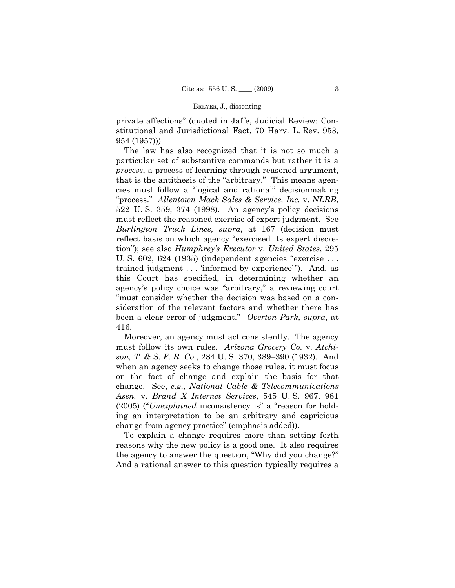private affections" (quoted in Jaffe, Judicial Review: Constitutional and Jurisdictional Fact, 70 Harv. L. Rev. 953, 954 (1957))).

The law has also recognized that it is not so much a particular set of substantive commands but rather it is a *process*, a process of learning through reasoned argument, that is the antithesis of the "arbitrary." This means agencies must follow a "logical and rational" decisionmaking "process." *Allentown Mack Sales & Service, Inc.* v. *NLRB*, 522 U. S. 359, 374 (1998). An agency's policy decisions must reflect the reasoned exercise of expert judgment. See *Burlington Truck Lines, supra*, at 167 (decision must reflect basis on which agency "exercised its expert discretion"); see also *Humphrey's Executor* v. *United States*, 295 U. S. 602, 624 (1935) (independent agencies "exercise . . . trained judgment . . . 'informed by experience'"). And, as this Court has specified, in determining whether an agency's policy choice was "arbitrary," a reviewing court "must consider whether the decision was based on a consideration of the relevant factors and whether there has been a clear error of judgment." *Overton Park, supra*, at 416.

Moreover, an agency must act consistently. The agency must follow its own rules. *Arizona Grocery Co.* v. *Atchison, T. & S. F. R. Co.*, 284 U. S. 370, 389–390 (1932). And when an agency seeks to change those rules, it must focus on the fact of change and explain the basis for that change. See, *e.g., National Cable & Telecommunications Assn.* v. *Brand X Internet Services*, 545 U. S. 967, 981 (2005) ("*Unexplained* inconsistency is" a "reason for holding an interpretation to be an arbitrary and capricious change from agency practice" (emphasis added)).

To explain a change requires more than setting forth reasons why the new policy is a good one. It also requires the agency to answer the question, "Why did you change?" And a rational answer to this question typically requires a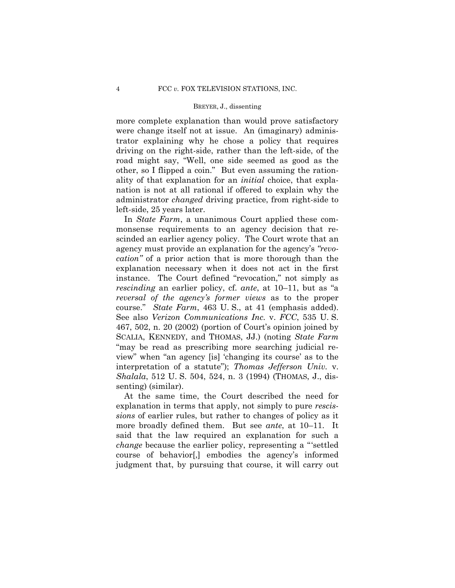more complete explanation than would prove satisfactory were change itself not at issue. An (imaginary) administrator explaining why he chose a policy that requires driving on the right-side, rather than the left-side, of the road might say, "Well, one side seemed as good as the other, so I flipped a coin." But even assuming the rationality of that explanation for an *initial* choice, that explanation is not at all rational if offered to explain why the administrator *changed* driving practice, from right-side to left-side, 25 years later.

In *State Farm*, a unanimous Court applied these commonsense requirements to an agency decision that rescinded an earlier agency policy. The Court wrote that an agency must provide an explanation for the agency's *"revocation"* of a prior action that is more thorough than the explanation necessary when it does not act in the first instance. The Court defined "revocation," not simply as *rescinding* an earlier policy, cf. *ante*, at 10–11, but as "a *reversal of the agency's former views* as to the proper course." *State Farm*, 463 U. S., at 41 (emphasis added). See also *Verizon Communications Inc.* v. *FCC*, 535 U. S. 467, 502, n. 20 (2002) (portion of Court's opinion joined by SCALIA, KENNEDY, and THOMAS, JJ.) (noting *State Farm*  "may be read as prescribing more searching judicial review" when "an agency [is] 'changing its course' as to the interpretation of a statute"); *Thomas Jefferson Univ.* v. *Shalala*, 512 U. S. 504, 524, n. 3 (1994) (THOMAS, J., dissenting) (similar).

At the same time, the Court described the need for explanation in terms that apply, not simply to pure *rescissions* of earlier rules, but rather to changes of policy as it more broadly defined them. But see *ante*, at 10–11. It said that the law required an explanation for such a *change* because the earlier policy, representing a "'settled course of behavior[,] embodies the agency's informed judgment that, by pursuing that course, it will carry out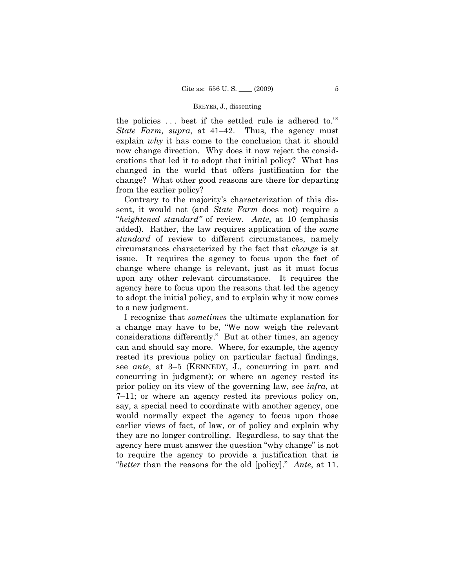the policies . . . best if the settled rule is adhered to.'" *State Farm, supra*, at 41–42. Thus, the agency must explain *why* it has come to the conclusion that it should now change direction. Why does it now reject the considerations that led it to adopt that initial policy? What has changed in the world that offers justification for the change? What other good reasons are there for departing from the earlier policy?

Contrary to the majority's characterization of this dissent, it would not (and *State Farm* does not) require a "*heightened standard"* of review. *Ante*, at 10 (emphasis added). Rather, the law requires application of the *same standard* of review to different circumstances, namely circumstances characterized by the fact that *change* is at issue. It requires the agency to focus upon the fact of change where change is relevant, just as it must focus upon any other relevant circumstance. It requires the agency here to focus upon the reasons that led the agency to adopt the initial policy, and to explain why it now comes to a new judgment.

I recognize that *sometimes* the ultimate explanation for a change may have to be, "We now weigh the relevant considerations differently." But at other times, an agency can and should say more. Where, for example, the agency rested its previous policy on particular factual findings, see *ante*, at 3–5 (KENNEDY, J., concurring in part and concurring in judgment); or where an agency rested its prior policy on its view of the governing law, see *infra*, at 7–11; or where an agency rested its previous policy on, say, a special need to coordinate with another agency, one would normally expect the agency to focus upon those earlier views of fact, of law, or of policy and explain why they are no longer controlling. Regardless, to say that the agency here must answer the question "why change" is not to require the agency to provide a justification that is "*better* than the reasons for the old [policy]." *Ante*, at 11.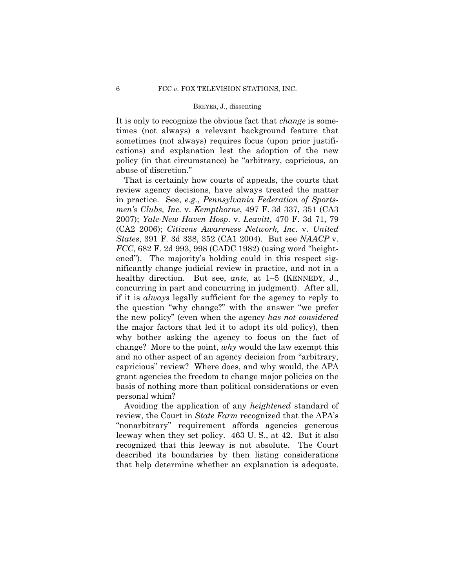It is only to recognize the obvious fact that *change* is sometimes (not always) a relevant background feature that sometimes (not always) requires focus (upon prior justifications) and explanation lest the adoption of the new policy (in that circumstance) be "arbitrary, capricious, an abuse of discretion."

That is certainly how courts of appeals, the courts that review agency decisions, have always treated the matter in practice. See, *e.g.*, *Pennsylvania Federation of Sportsmen's Clubs, Inc.* v. *Kempthorne*, 497 F. 3d 337, 351 (CA3 2007); *Yale-New Haven Hosp*. v. *Leavitt*, 470 F. 3d 71, 79 (CA2 2006); *Citizens Awareness Network, Inc*. v. *United States*, 391 F. 3d 338, 352 (CA1 2004). But see *NAACP* v. *FCC*, 682 F. 2d 993, 998 (CADC 1982) (using word "heightened"). The majority's holding could in this respect significantly change judicial review in practice, and not in a healthy direction. But see, *ante*, at  $1-5$  (KENNEDY, J., concurring in part and concurring in judgment). After all, if it is *always* legally sufficient for the agency to reply to the question "why change?" with the answer "we prefer the new policy" (even when the agency *has not considered*  the major factors that led it to adopt its old policy), then why bother asking the agency to focus on the fact of change? More to the point, *why* would the law exempt this and no other aspect of an agency decision from "arbitrary, capricious" review? Where does, and why would, the APA grant agencies the freedom to change major policies on the basis of nothing more than political considerations or even personal whim?

Avoiding the application of any *heightened* standard of review, the Court in *State Farm* recognized that the APA's "nonarbitrary" requirement affords agencies generous leeway when they set policy. 463 U. S., at 42. But it also recognized that this leeway is not absolute. The Court described its boundaries by then listing considerations that help determine whether an explanation is adequate.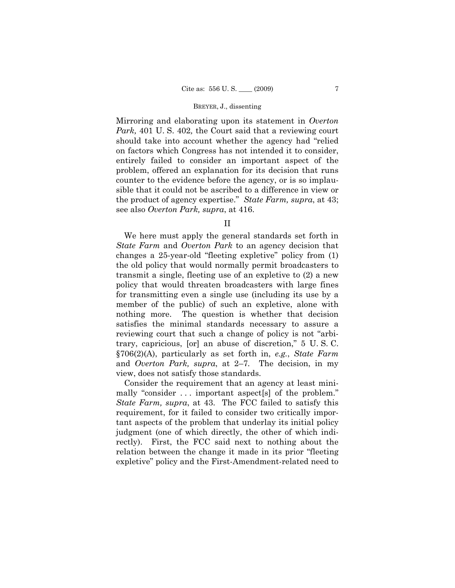Mirroring and elaborating upon its statement in *Overton Park,* 401 U. S. 402*,* the Court said that a reviewing court should take into account whether the agency had "relied on factors which Congress has not intended it to consider, entirely failed to consider an important aspect of the problem, offered an explanation for its decision that runs counter to the evidence before the agency, or is so implausible that it could not be ascribed to a difference in view or the product of agency expertise." *State Farm, supra*, at 43; see also *Overton Park, supra*, at 416.

II

We here must apply the general standards set forth in *State Farm* and *Overton Park* to an agency decision that changes a 25-year-old "fleeting expletive" policy from (1) the old policy that would normally permit broadcasters to transmit a single, fleeting use of an expletive to (2) a new policy that would threaten broadcasters with large fines for transmitting even a single use (including its use by a member of the public) of such an expletive, alone with nothing more. The question is whether that decision satisfies the minimal standards necessary to assure a reviewing court that such a change of policy is not "arbitrary, capricious, [or] an abuse of discretion," 5 U. S. C. §706(2)(A), particularly as set forth in, *e.g.*, *State Farm*  and *Overton Park, supra*, at 2–7*.* The decision, in my view, does not satisfy those standards.

Consider the requirement that an agency at least minimally "consider . . . important aspect[s] of the problem." *State Farm, supra*, at 43. The FCC failed to satisfy this requirement, for it failed to consider two critically important aspects of the problem that underlay its initial policy judgment (one of which directly, the other of which indirectly). First, the FCC said next to nothing about the relation between the change it made in its prior "fleeting expletive" policy and the First-Amendment-related need to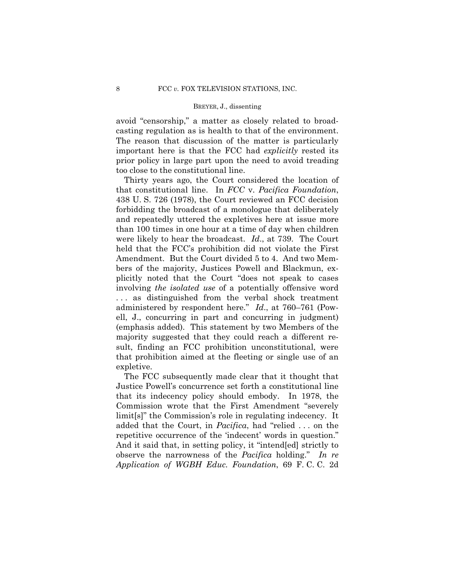avoid "censorship," a matter as closely related to broadcasting regulation as is health to that of the environment. The reason that discussion of the matter is particularly important here is that the FCC had *explicitly* rested its prior policy in large part upon the need to avoid treading too close to the constitutional line.

Thirty years ago, the Court considered the location of that constitutional line. In *FCC* v. *Pacifica Foundation*, 438 U. S. 726 (1978), the Court reviewed an FCC decision forbidding the broadcast of a monologue that deliberately and repeatedly uttered the expletives here at issue more than 100 times in one hour at a time of day when children were likely to hear the broadcast. *Id*., at 739. The Court held that the FCC's prohibition did not violate the First Amendment. But the Court divided 5 to 4. And two Members of the majority, Justices Powell and Blackmun, explicitly noted that the Court "does not speak to cases involving *the isolated use* of a potentially offensive word . . . as distinguished from the verbal shock treatment administered by respondent here." *Id*., at 760–761 (Powell, J., concurring in part and concurring in judgment) (emphasis added). This statement by two Members of the majority suggested that they could reach a different result, finding an FCC prohibition unconstitutional, were that prohibition aimed at the fleeting or single use of an expletive.

The FCC subsequently made clear that it thought that Justice Powell's concurrence set forth a constitutional line that its indecency policy should embody. In 1978, the Commission wrote that the First Amendment "severely limit[s]" the Commission's role in regulating indecency. It added that the Court, in *Pacifica*, had "relied . . . on the repetitive occurrence of the 'indecent' words in question." And it said that, in setting policy, it "intend[ed] strictly to observe the narrowness of the *Pacifica* holding." *In re Application of WGBH Educ. Foundation*, 69 F. C. C. 2d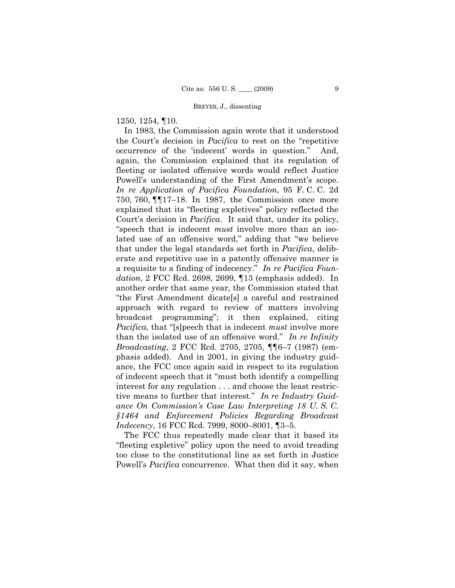# 1250, 1254, ¶10.

In 1983, the Commission again wrote that it understood the Court's decision in *Pacifica* to rest on the "repetitive occurrence of the 'indecent' words in question." And, again, the Commission explained that its regulation of fleeting or isolated offensive words would reflect Justice Powell's understanding of the First Amendment's scope. *In re Application of Pacifica Foundation*, 95 F. C. C. 2d 750, 760, ¶¶17–18. In 1987, the Commission once more explained that its "fleeting expletives" policy reflected the Court's decision in *Pacifica*. It said that, under its policy, "speech that is indecent *must* involve more than an isolated use of an offensive word," adding that "we believe that under the legal standards set forth in *Pacifica*, deliberate and repetitive use in a patently offensive manner is a requisite to a finding of indecency." *In re Pacifica Foundation*, 2 FCC Rcd. 2698, 2699, ¶13 (emphasis added). In another order that same year, the Commission stated that "the First Amendment dicate[s] a careful and restrained approach with regard to review of matters involving broadcast programming"; it then explained, citing *Pacifica*, that "[s]peech that is indecent *must* involve more than the isolated use of an offensive word." *In re Infinity Broadcasting*, 2 FCC Rcd. 2705, 2705, ¶¶6–7 (1987) (emphasis added). And in 2001, in giving the industry guidance, the FCC once again said in respect to its regulation of indecent speech that it "must both identify a compelling interest for any regulation . . . and choose the least restrictive means to further that interest." *In re Industry Guidance On Commission's Case Law Interpreting 18 U. S. C. §1464 and Enforcement Policies Regarding Broadcast Indecency*, 16 FCC Rcd. 7999, 8000–8001, ¶3–5.

The FCC thus repeatedly made clear that it based its "fleeting expletive" policy upon the need to avoid treading too close to the constitutional line as set forth in Justice Powell's *Pacifica* concurrence. What then did it say, when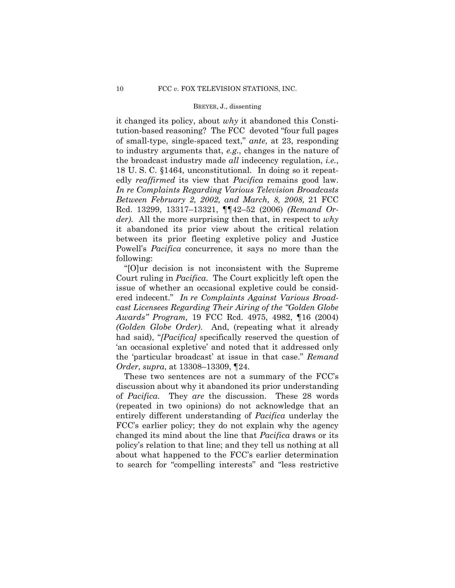it changed its policy, about *why* it abandoned this Constitution-based reasoning? The FCC devoted "four full pages of small-type, single-spaced text," *ante*, at 23, responding to industry arguments that, *e.g.*, changes in the nature of the broadcast industry made *all* indecency regulation, *i.e.*, 18 U. S. C. §1464, unconstitutional. In doing so it repeatedly *reaffirmed* its view that *Pacifica* remains good law. *In re Complaints Regarding Various Television Broadcasts Between February 2, 2002, and March, 8, 2008,* 21 FCC Rcd. 13299, 13317–13321, ¶¶42–52 (2006) *(Remand Order)*. All the more surprising then that, in respect to *why* it abandoned its prior view about the critical relation between its prior fleeting expletive policy and Justice Powell's *Pacifica* concurrence, it says no more than the following:

"[O]ur decision is not inconsistent with the Supreme Court ruling in *Pacifica*. The Court explicitly left open the issue of whether an occasional expletive could be considered indecent." *In re Complaints Against Various Broadcast Licensees Regarding Their Airing of the "Golden Globe Awards" Program,* 19 FCC Rcd. 4975, 4982, ¶16 (2004) *(Golden Globe Order)*. And, (repeating what it already had said), "*[Pacifica]* specifically reserved the question of 'an occasional expletive' and noted that it addressed only the 'particular broadcast' at issue in that case." *Remand Order*, *supra*, at 13308–13309, ¶24.

These two sentences are not a summary of the FCC's discussion about why it abandoned its prior understanding of *Pacifica*. They *are* the discussion. These 28 words (repeated in two opinions) do not acknowledge that an entirely different understanding of *Pacifica* underlay the FCC's earlier policy; they do not explain why the agency changed its mind about the line that *Pacifica* draws or its policy's relation to that line; and they tell us nothing at all about what happened to the FCC's earlier determination to search for "compelling interests" and "less restrictive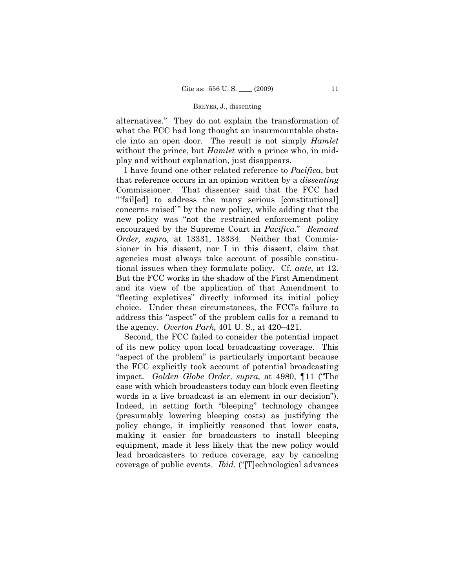alternatives." They do not explain the transformation of what the FCC had long thought an insurmountable obstacle into an open door. The result is not simply *Hamlet*  without the prince, but *Hamlet* with a prince who, in midplay and without explanation, just disappears.

I have found one other related reference to *Pacifica*, but that reference occurs in an opinion written by a *dissenting*  Commissioner. That dissenter said that the FCC had "'fail[ed] to address the many serious [constitutional] concerns raised'" by the new policy, while adding that the new policy was "not the restrained enforcement policy encouraged by the Supreme Court in *Pacifica*." *Remand Order, supra,* at 13331, 13334. Neither that Commissioner in his dissent, nor I in this dissent, claim that agencies must always take account of possible constitutional issues when they formulate policy. Cf. *ante*, at 12. But the FCC works in the shadow of the First Amendment and its view of the application of that Amendment to "fleeting expletives" directly informed its initial policy choice. Under these circumstances, the FCC's failure to address this "aspect" of the problem calls for a remand to the agency. *Overton Park,* 401 U. S.*,* at 420–421.

Second, the FCC failed to consider the potential impact of its new policy upon local broadcasting coverage. This "aspect of the problem" is particularly important because the FCC explicitly took account of potential broadcasting impact. *Golden Globe Order, supra*, at 4980, ¶11 ("The ease with which broadcasters today can block even fleeting words in a live broadcast is an element in our decision"). Indeed, in setting forth "bleeping" technology changes (presumably lowering bleeping costs) as justifying the policy change, it implicitly reasoned that lower costs, making it easier for broadcasters to install bleeping equipment, made it less likely that the new policy would lead broadcasters to reduce coverage, say by canceling coverage of public events. *Ibid.* ("[T]echnological advances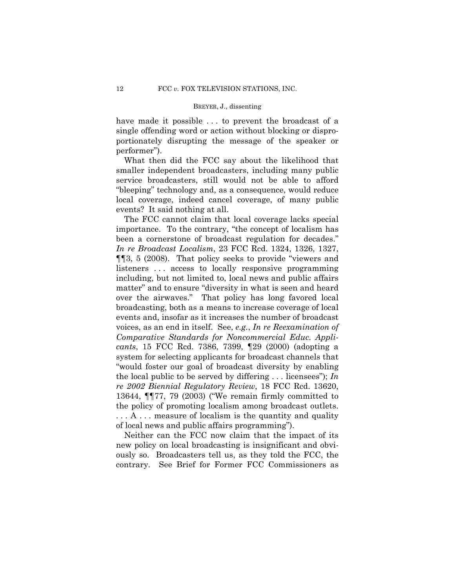have made it possible ... to prevent the broadcast of a single offending word or action without blocking or disproportionately disrupting the message of the speaker or performer").

What then did the FCC say about the likelihood that smaller independent broadcasters, including many public service broadcasters, still would not be able to afford "bleeping" technology and, as a consequence, would reduce local coverage, indeed cancel coverage, of many public events? It said nothing at all.

The FCC cannot claim that local coverage lacks special importance. To the contrary, "the concept of localism has been a cornerstone of broadcast regulation for decades." *In re Broadcast Localism*, 23 FCC Rcd. 1324, 1326, 1327, ¶¶3, 5 (2008). That policy seeks to provide "viewers and listeners ... access to locally responsive programming including, but not limited to, local news and public affairs matter" and to ensure "diversity in what is seen and heard over the airwaves." That policy has long favored local broadcasting, both as a means to increase coverage of local events and, insofar as it increases the number of broadcast voices, as an end in itself. See, *e.g.*, *In re Reexamination of Comparative Standards for Noncommercial Educ. Applicants*, 15 FCC Rcd. 7386, 7399, ¶29 (2000) (adopting a system for selecting applicants for broadcast channels that "would foster our goal of broadcast diversity by enabling the local public to be served by differing . . . licensees"); *In re 2002 Biennial Regulatory Review*, 18 FCC Rcd. 13620, 13644, ¶¶77, 79 (2003) ("We remain firmly committed to the policy of promoting localism among broadcast outlets. ... A ... measure of localism is the quantity and quality of local news and public affairs programming").

Neither can the FCC now claim that the impact of its new policy on local broadcasting is insignificant and obviously so. Broadcasters tell us, as they told the FCC, the contrary. See Brief for Former FCC Commissioners as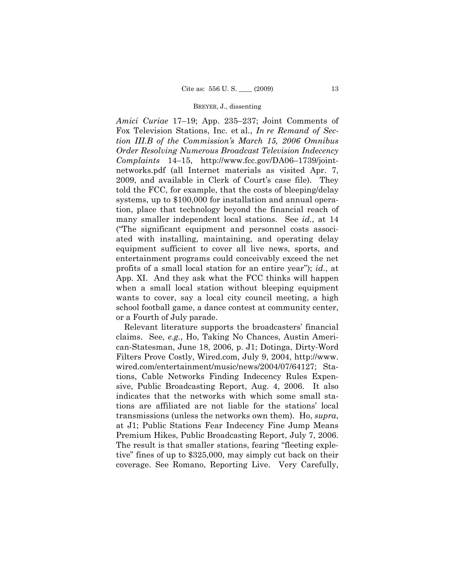*Amici Curiae* 17–19; App. 235–237; Joint Comments of Fox Television Stations, Inc. et al., *In re Remand of Section III.B of the Commission's March 15, 2006 Omnibus Order Resolving Numerous Broadcast Television Indecency Complaints* 14–15, http://www.fcc.gov/DA06–1739/jointnetworks.pdf (all Internet materials as visited Apr. 7, 2009, and available in Clerk of Court's case file). They told the FCC, for example, that the costs of bleeping/delay systems, up to \$100,000 for installation and annual operation, place that technology beyond the financial reach of many smaller independent local stations. See *id.*, at 14 ("The significant equipment and personnel costs associated with installing, maintaining, and operating delay equipment sufficient to cover all live news, sports, and entertainment programs could conceivably exceed the net profits of a small local station for an entire year"); *id*., at App. XI. And they ask what the FCC thinks will happen when a small local station without bleeping equipment wants to cover, say a local city council meeting, a high school football game, a dance contest at community center, or a Fourth of July parade.

Relevant literature supports the broadcasters' financial claims. See, *e.g.*, Ho, Taking No Chances, Austin American-Statesman, June 18, 2006, p. J1; Dotinga, Dirty-Word Filters Prove Costly, Wired.com, July 9, 2004, http://www. wired.com/entertainment/music/news/2004/07/64127; Stations, Cable Networks Finding Indecency Rules Expensive, Public Broadcasting Report, Aug. 4, 2006. It also indicates that the networks with which some small stations are affiliated are not liable for the stations' local transmissions (unless the networks own them). Ho, *supra*, at J1; Public Stations Fear Indecency Fine Jump Means Premium Hikes, Public Broadcasting Report, July 7, 2006. The result is that smaller stations, fearing "fleeting expletive" fines of up to \$325,000, may simply cut back on their coverage. See Romano, Reporting Live. Very Carefully,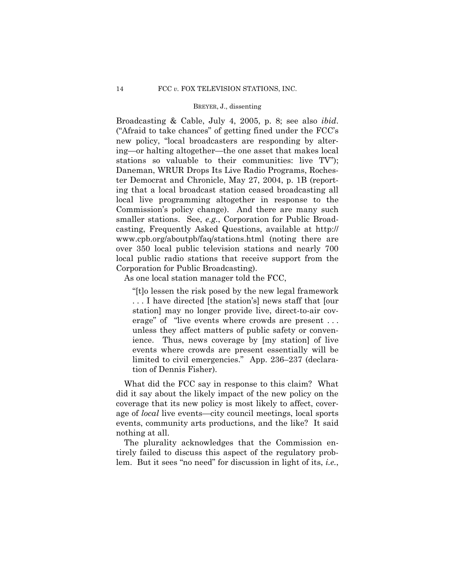Broadcasting & Cable, July 4, 2005, p. 8; see also *ibid*. ("Afraid to take chances" of getting fined under the FCC's new policy, "local broadcasters are responding by altering—or halting altogether—the one asset that makes local stations so valuable to their communities: live TV"); Daneman, WRUR Drops Its Live Radio Programs, Rochester Democrat and Chronicle, May 27, 2004, p. 1B (reporting that a local broadcast station ceased broadcasting all local live programming altogether in response to the Commission's policy change). And there are many such smaller stations. See, *e.g.*, Corporation for Public Broadcasting, Frequently Asked Questions, available at http:// www.cpb.org/aboutpb/faq/stations.html (noting there are over 350 local public television stations and nearly 700 local public radio stations that receive support from the Corporation for Public Broadcasting).

As one local station manager told the FCC,

"[t]o lessen the risk posed by the new legal framework . . . I have directed [the station's] news staff that [our station] may no longer provide live, direct-to-air coverage" of "live events where crowds are present . . . unless they affect matters of public safety or convenience. Thus, news coverage by [my station] of live events where crowds are present essentially will be limited to civil emergencies." App. 236–237 (declaration of Dennis Fisher).

What did the FCC say in response to this claim? What did it say about the likely impact of the new policy on the coverage that its new policy is most likely to affect, coverage of *local* live events—city council meetings, local sports events, community arts productions, and the like? It said nothing at all.

The plurality acknowledges that the Commission entirely failed to discuss this aspect of the regulatory problem. But it sees "no need" for discussion in light of its, *i.e.*,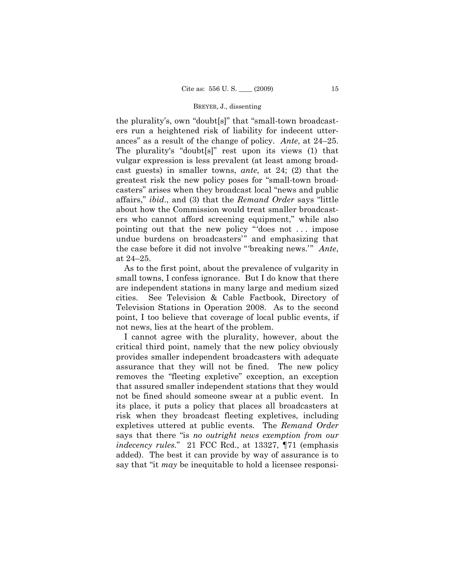the plurality's, own "doubt[s]" that "small-town broadcasters run a heightened risk of liability for indecent utterances" as a result of the change of policy. *Ante*, at 24–25. The plurality's "doubt[s]" rest upon its views (1) that vulgar expression is less prevalent (at least among broadcast guests) in smaller towns, *ante*, at 24; (2) that the greatest risk the new policy poses for "small-town broadcasters" arises when they broadcast local "news and public affairs," *ibid*., and (3) that the *Remand Order* says "little about how the Commission would treat smaller broadcasters who cannot afford screening equipment," while also pointing out that the new policy "'does not . . . impose undue burdens on broadcasters'" and emphasizing that the case before it did not involve "'breaking news.'" *Ante*, at 24–25.

As to the first point, about the prevalence of vulgarity in small towns, I confess ignorance. But I do know that there are independent stations in many large and medium sized cities. See Television & Cable Factbook, Directory of Television Stations in Operation 2008. As to the second point, I too believe that coverage of local public events, if not news, lies at the heart of the problem.

I cannot agree with the plurality, however, about the critical third point, namely that the new policy obviously provides smaller independent broadcasters with adequate assurance that they will not be fined. The new policy removes the "fleeting expletive" exception, an exception that assured smaller independent stations that they would not be fined should someone swear at a public event. In its place, it puts a policy that places all broadcasters at risk when they broadcast fleeting expletives, including expletives uttered at public events. The *Remand Order*  says that there "is *no outright news exemption from our indecency rules.*" 21 FCC Rcd., at 13327, ¶71 (emphasis added). The best it can provide by way of assurance is to say that "it *may* be inequitable to hold a licensee responsi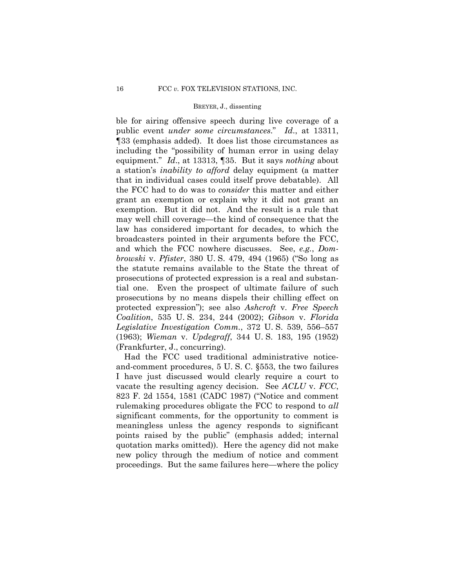ble for airing offensive speech during live coverage of a public event *under some circumstances*." *Id*., at 13311, ¶33 (emphasis added). It does list those circumstances as including the "possibility of human error in using delay equipment." *Id*., at 13313, ¶35. But it says *nothing* about a station's *inability to afford* delay equipment (a matter that in individual cases could itself prove debatable). All the FCC had to do was to *consider* this matter and either grant an exemption or explain why it did not grant an exemption. But it did not. And the result is a rule that may well chill coverage—the kind of consequence that the law has considered important for decades, to which the broadcasters pointed in their arguments before the FCC, and which the FCC nowhere discusses. See, *e.g.*, *Dombrowski* v. *Pfister*, 380 U. S. 479, 494 (1965) ("So long as the statute remains available to the State the threat of prosecutions of protected expression is a real and substantial one. Even the prospect of ultimate failure of such prosecutions by no means dispels their chilling effect on protected expression"); see also *Ashcroft* v. *Free Speech Coalition*, 535 U. S. 234, 244 (2002); *Gibson* v. *Florida Legislative Investigation Comm.*, 372 U. S. 539, 556–557 (1963); *Wieman* v. *Updegraff*, 344 U. S. 183, 195 (1952) (Frankfurter, J., concurring).

Had the FCC used traditional administrative noticeand-comment procedures, 5 U. S. C. §553, the two failures I have just discussed would clearly require a court to vacate the resulting agency decision. See *ACLU* v. *FCC*, 823 F. 2d 1554, 1581 (CADC 1987) ("Notice and comment rulemaking procedures obligate the FCC to respond to *all*  significant comments, for the opportunity to comment is meaningless unless the agency responds to significant points raised by the public" (emphasis added; internal quotation marks omitted)). Here the agency did not make new policy through the medium of notice and comment proceedings. But the same failures here—where the policy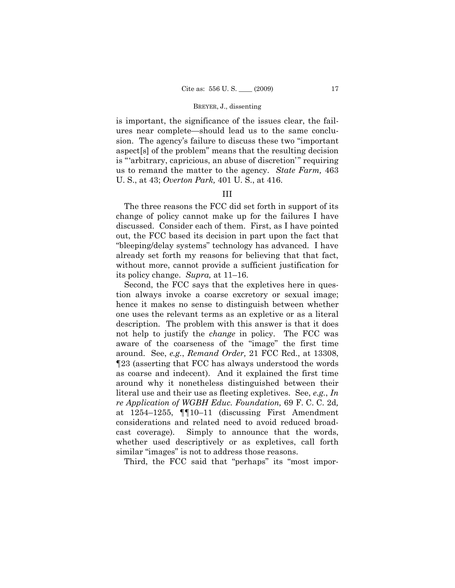is important, the significance of the issues clear, the failures near complete—should lead us to the same conclusion. The agency's failure to discuss these two "important aspect[s] of the problem" means that the resulting decision is "'arbitrary, capricious, an abuse of discretion'" requiring us to remand the matter to the agency. *State Farm,* 463 U. S., at 43; *Overton Park,* 401 U. S., at 416.

# III

The three reasons the FCC did set forth in support of its change of policy cannot make up for the failures I have discussed. Consider each of them. First, as I have pointed out, the FCC based its decision in part upon the fact that "bleeping/delay systems" technology has advanced. I have already set forth my reasons for believing that that fact, without more, cannot provide a sufficient justification for its policy change. *Supra,* at 11–16.

Second, the FCC says that the expletives here in question always invoke a coarse excretory or sexual image; hence it makes no sense to distinguish between whether one uses the relevant terms as an expletive or as a literal description. The problem with this answer is that it does not help to justify the *change* in policy. The FCC was aware of the coarseness of the "image" the first time around. See, *e.g.*, *Remand Order,* 21 FCC Rcd., at 13308, ¶23 (asserting that FCC has always understood the words as coarse and indecent). And it explained the first time around why it nonetheless distinguished between their literal use and their use as fleeting expletives. See, *e.g.*, *In re Application of WGBH Educ. Foundation,* 69 F. C. C. 2d*,*  at 1254–1255, ¶¶10–11 (discussing First Amendment considerations and related need to avoid reduced broadcast coverage). Simply to announce that the words, whether used descriptively or as expletives, call forth similar "images" is not to address those reasons.

Third, the FCC said that "perhaps" its "most impor-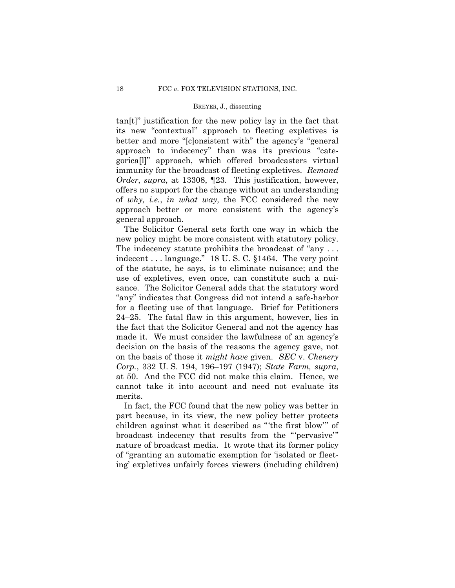tan[t]" justification for the new policy lay in the fact that its new "contextual" approach to fleeting expletives is better and more "[c]onsistent with" the agency's "general approach to indecency" than was its previous "categorica[l]" approach, which offered broadcasters virtual immunity for the broadcast of fleeting expletives. *Remand Order*, *supra*, at 13308, ¶23. This justification, however, offers no support for the change without an understanding of *why, i.e.*, *in what way,* the FCC considered the new approach better or more consistent with the agency's general approach.

The Solicitor General sets forth one way in which the new policy might be more consistent with statutory policy. The indecency statute prohibits the broadcast of "any . . . indecent . . . language." 18 U. S. C. §1464. The very point of the statute, he says, is to eliminate nuisance; and the use of expletives, even once, can constitute such a nuisance. The Solicitor General adds that the statutory word "any" indicates that Congress did not intend a safe-harbor for a fleeting use of that language. Brief for Petitioners 24–25. The fatal flaw in this argument, however, lies in the fact that the Solicitor General and not the agency has made it. We must consider the lawfulness of an agency's decision on the basis of the reasons the agency gave, not on the basis of those it *might have* given. *SEC* v. *Chenery Corp.*, 332 U. S. 194, 196–197 (1947); *State Farm, supra*, at 50. And the FCC did not make this claim. Hence, we cannot take it into account and need not evaluate its merits.

In fact, the FCC found that the new policy was better in part because, in its view, the new policy better protects children against what it described as "'the first blow'" of broadcast indecency that results from the "'pervasive'" nature of broadcast media. It wrote that its former policy of "granting an automatic exemption for 'isolated or fleeting' expletives unfairly forces viewers (including children)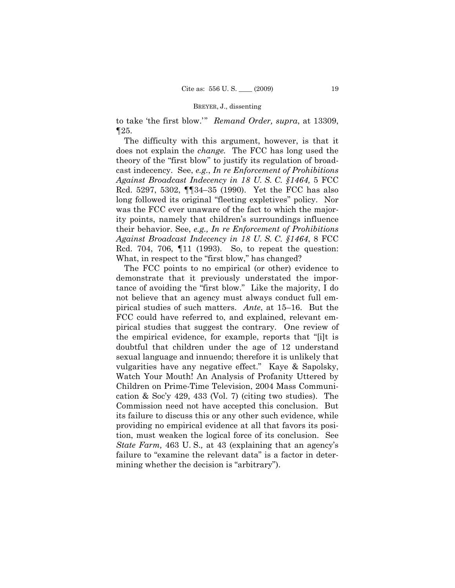to take 'the first blow.'" *Remand Order, supra*, at 13309, ¶25.

The difficulty with this argument, however, is that it does not explain the *change.* The FCC has long used the theory of the "first blow" to justify its regulation of broadcast indecency. See, *e.g.*, *In re Enforcement of Prohibitions Against Broadcast Indecency in 18 U. S. C. §1464,* 5 FCC Rcd. 5297, 5302, ¶¶34–35 (1990). Yet the FCC has also long followed its original "fleeting expletives" policy. Nor was the FCC ever unaware of the fact to which the majority points, namely that children's surroundings influence their behavior. See, *e.g., In re Enforcement of Prohibitions Against Broadcast Indecency in 18 U. S. C. §1464*, 8 FCC Rcd. 704, 706, ¶11 (1993). So, to repeat the question: What, in respect to the "first blow," has changed?

The FCC points to no empirical (or other) evidence to demonstrate that it previously understated the importance of avoiding the "first blow." Like the majority, I do not believe that an agency must always conduct full empirical studies of such matters. *Ante*, at 15–16. But the FCC could have referred to, and explained, relevant empirical studies that suggest the contrary. One review of the empirical evidence, for example, reports that "[i]t is doubtful that children under the age of 12 understand sexual language and innuendo; therefore it is unlikely that vulgarities have any negative effect." Kaye & Sapolsky, Watch Your Mouth! An Analysis of Profanity Uttered by Children on Prime-Time Television, 2004 Mass Communication & Soc'y 429, 433 (Vol. 7) (citing two studies). The Commission need not have accepted this conclusion. But its failure to discuss this or any other such evidence, while providing no empirical evidence at all that favors its position, must weaken the logical force of its conclusion. See *State Farm,* 463 U. S.*,* at 43 (explaining that an agency's failure to "examine the relevant data" is a factor in determining whether the decision is "arbitrary").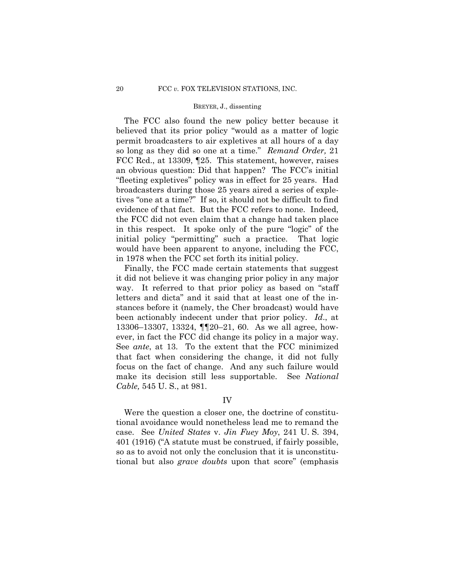The FCC also found the new policy better because it believed that its prior policy "would as a matter of logic permit broadcasters to air expletives at all hours of a day so long as they did so one at a time." *Remand Order,* 21 FCC Rcd., at 13309, ¶25. This statement, however, raises an obvious question: Did that happen? The FCC's initial "fleeting expletives" policy was in effect for 25 years. Had broadcasters during those 25 years aired a series of expletives "one at a time?" If so, it should not be difficult to find evidence of that fact. But the FCC refers to none. Indeed, the FCC did not even claim that a change had taken place in this respect. It spoke only of the pure "logic" of the initial policy "permitting" such a practice. That logic would have been apparent to anyone, including the FCC, in 1978 when the FCC set forth its initial policy.

Finally, the FCC made certain statements that suggest it did not believe it was changing prior policy in any major way. It referred to that prior policy as based on "staff letters and dicta" and it said that at least one of the instances before it (namely, the Cher broadcast) would have been actionably indecent under that prior policy. *Id*., at 13306–13307, 13324, ¶¶20–21, 60. As we all agree, however, in fact the FCC did change its policy in a major way. See *ante*, at 13. To the extent that the FCC minimized that fact when considering the change, it did not fully focus on the fact of change. And any such failure would make its decision still less supportable. See *National Cable,* 545 U. S., at 981.

# IV

Were the question a closer one, the doctrine of constitutional avoidance would nonetheless lead me to remand the case. See *United States* v. *Jin Fuey Moy*, 241 U. S. 394, 401 (1916) ("A statute must be construed, if fairly possible, so as to avoid not only the conclusion that it is unconstitutional but also *grave doubts* upon that score" (emphasis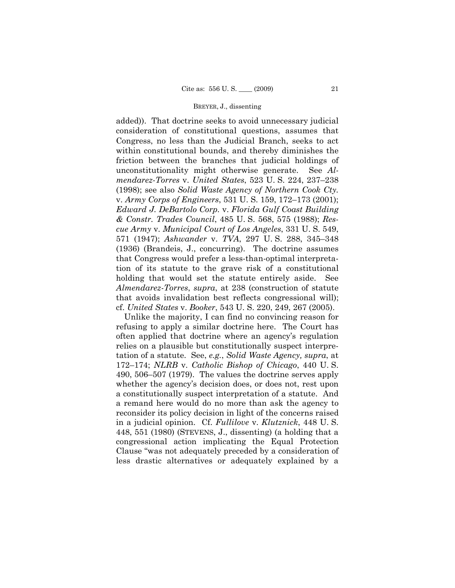added)). That doctrine seeks to avoid unnecessary judicial consideration of constitutional questions, assumes that Congress, no less than the Judicial Branch, seeks to act within constitutional bounds, and thereby diminishes the friction between the branches that judicial holdings of unconstitutionality might otherwise generate. See *Almendarez-Torres* v. *United States*, 523 U. S. 224, 237–238 (1998); see also *Solid Waste Agency of Northern Cook Cty.*  v. *Army Corps of Engineers*, 531 U. S. 159, 172–173 (2001); *Edward J. DeBartolo Corp.* v. *Florida Gulf Coast Building & Constr. Trades Council*, 485 U. S. 568, 575 (1988); *Rescue Army* v. *Municipal Court of Los Angeles*, 331 U. S. 549, 571 (1947); *Ashwander* v. *TVA*, 297 U. S. 288, 345–348 (1936) (Brandeis, J., concurring). The doctrine assumes that Congress would prefer a less-than-optimal interpretation of its statute to the grave risk of a constitutional holding that would set the statute entirely aside. See *Almendarez-Torres*, *supra*, at 238 (construction of statute that avoids invalidation best reflects congressional will); cf. *United States* v. *Booker*, 543 U. S. 220, 249, 267 (2005).

Unlike the majority, I can find no convincing reason for refusing to apply a similar doctrine here. The Court has often applied that doctrine where an agency's regulation relies on a plausible but constitutionally suspect interpretation of a statute. See, *e.g.*, *Solid Waste Agency, supra*, at 172–174; *NLRB* v. *Catholic Bishop of Chicago*, 440 U. S. 490, 506–507 (1979). The values the doctrine serves apply whether the agency's decision does, or does not, rest upon a constitutionally suspect interpretation of a statute. And a remand here would do no more than ask the agency to reconsider its policy decision in light of the concerns raised in a judicial opinion. Cf. *Fullilove* v. *Klutznick*, 448 U. S. 448, 551 (1980) (STEVENS, J., dissenting) (a holding that a congressional action implicating the Equal Protection Clause "was not adequately preceded by a consideration of less drastic alternatives or adequately explained by a